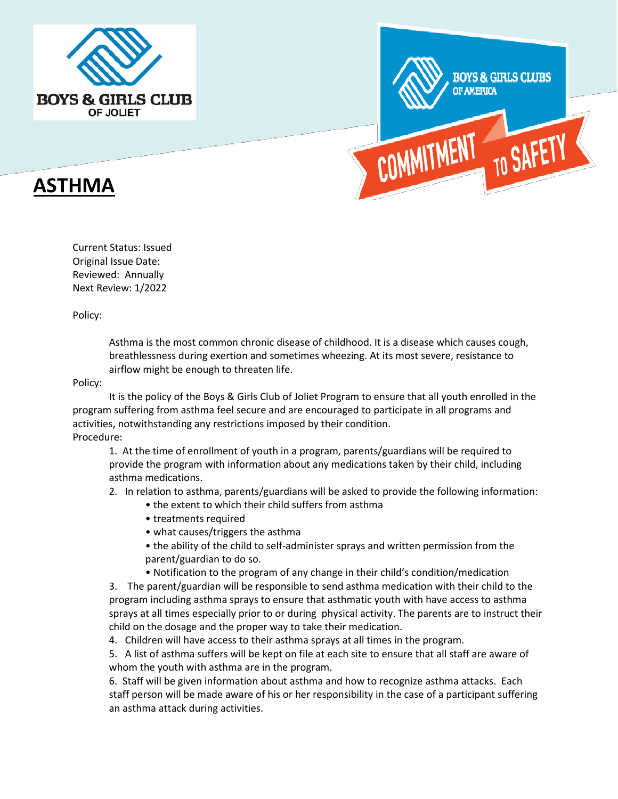



# **ASTHMA**

Current Status: Issued Original Issue Date: Reviewed: Annually Next Review: 1/2022

Policy:

Asthma is the most common chronic disease of childhood. It is a disease which causes cough, breathlessness during exertion and sometimes wheezing. At its most severe, resistance to airflow might be enough to threaten life.

Policy:

It is the policy of the Boys & Girls Club of Joliet Program to ensure that all youth enrolled in the program suffering from asthma feel secure and are encouraged to participate in all programs and activities, notwithstanding any restrictions imposed by their condition. Procedure:

1. At the time of enrollment of youth in a program, parents/guardians will be required to provide the program with information about any medications taken by their child, including asthma medications.

2. In relation to asthma, parents/guardians will be asked to provide the following information:

- the extent to which their child suffers from asthma
- treatments required
- what causes/triggers the asthma
- the ability of the child to self-administer sprays and written permission from the parent/guardian to do so.
- Notification to the program of any change in their child's condition/medication

3. The parent/guardian will be responsible to send asthma medication with their child to the program including asthma sprays to ensure that asthmatic youth with have access to asthma sprays at all times especially prior to or during physical activity. The parents are to instruct their child on the dosage and the proper way to take their medication.

4. Children will have access to their asthma sprays at all times in the program.

5. A list of asthma suffers will be kept on file at each site to ensure that all staff are aware of whom the youth with asthma are in the program.

6. Staff will be given information about asthma and how to recognize asthma attacks. Each staff person will be made aware of his or her responsibility in the case of a participant suffering an asthma attack during activities.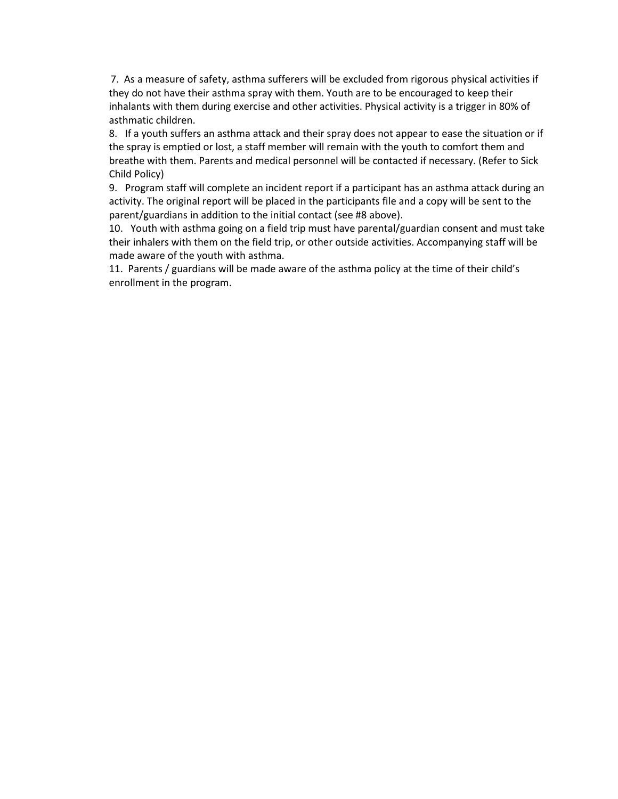7. As a measure of safety, asthma sufferers will be excluded from rigorous physical activities if they do not have their asthma spray with them. Youth are to be encouraged to keep their inhalants with them during exercise and other activities. Physical activity is a trigger in 80% of asthmatic children.

8. If a youth suffers an asthma attack and their spray does not appear to ease the situation or if the spray is emptied or lost, a staff member will remain with the youth to comfort them and breathe with them. Parents and medical personnel will be contacted if necessary. (Refer to Sick Child Policy)

9. Program staff will complete an incident report if a participant has an asthma attack during an activity. The original report will be placed in the participants file and a copy will be sent to the parent/guardians in addition to the initial contact (see #8 above).

10. Youth with asthma going on a field trip must have parental/guardian consent and must take their inhalers with them on the field trip, or other outside activities. Accompanying staff will be made aware of the youth with asthma.

11. Parents / guardians will be made aware of the asthma policy at the time of their child's enrollment in the program.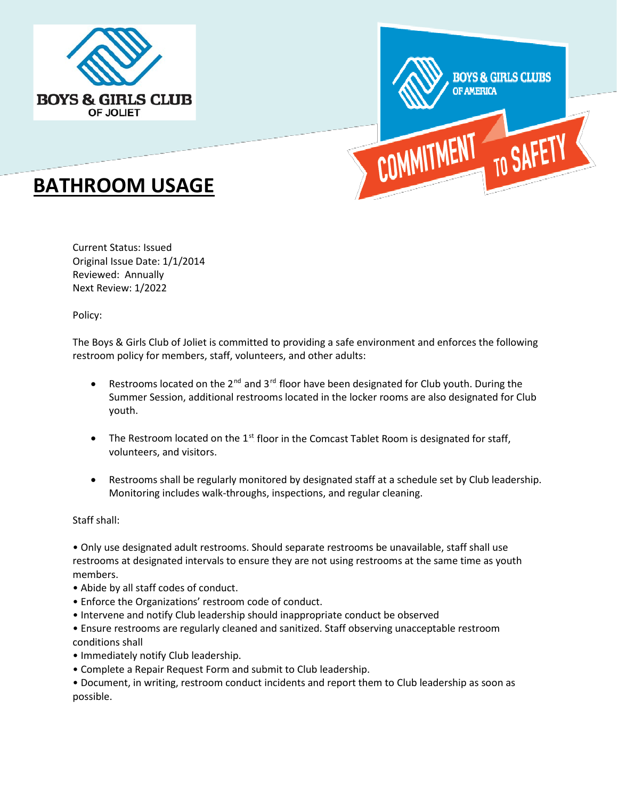



# **BATHROOM USAGE**

Current Status: Issued Original Issue Date: 1/1/2014 Reviewed: Annually Next Review: 1/2022

Policy:

The Boys & Girls Club of Joliet is committed to providing a safe environment and enforces the following restroom policy for members, staff, volunteers, and other adults:

- Restrooms located on the  $2^{nd}$  and  $3^{rd}$  floor have been designated for Club youth. During the Summer Session, additional restrooms located in the locker rooms are also designated for Club youth.
- The Restroom located on the  $1<sup>st</sup>$  floor in the Comcast Tablet Room is designated for staff, volunteers, and visitors.
- Restrooms shall be regularly monitored by designated staff at a schedule set by Club leadership. Monitoring includes walk-throughs, inspections, and regular cleaning.

Staff shall:

• Only use designated adult restrooms. Should separate restrooms be unavailable, staff shall use restrooms at designated intervals to ensure they are not using restrooms at the same time as youth members.

- Abide by all staff codes of conduct.
- Enforce the Organizations' restroom code of conduct.
- Intervene and notify Club leadership should inappropriate conduct be observed

• Ensure restrooms are regularly cleaned and sanitized. Staff observing unacceptable restroom conditions shall

- Immediately notify Club leadership.
- Complete a Repair Request Form and submit to Club leadership.
- Document, in writing, restroom conduct incidents and report them to Club leadership as soon as possible.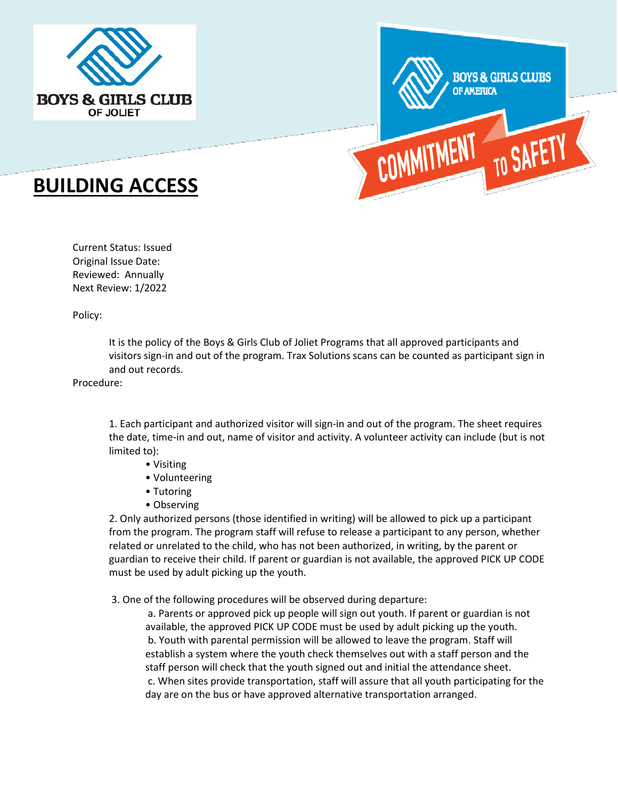



# **BUILDING ACCESS**

Current Status: Issued Original Issue Date: Reviewed: Annually Next Review: 1/2022

Policy:

It is the policy of the Boys & Girls Club of Joliet Programs that all approved participants and visitors sign-in and out of the program. Trax Solutions scans can be counted as participant sign in and out records.

Procedure:

1. Each participant and authorized visitor will sign-in and out of the program. The sheet requires the date, time-in and out, name of visitor and activity. A volunteer activity can include (but is not limited to):

- Visiting
- Volunteering
- Tutoring
- Observing

2. Only authorized persons (those identified in writing) will be allowed to pick up a participant from the program. The program staff will refuse to release a participant to any person, whether related or unrelated to the child, who has not been authorized, in writing, by the parent or guardian to receive their child. If parent or guardian is not available, the approved PICK UP CODE must be used by adult picking up the youth.

3. One of the following procedures will be observed during departure:

a. Parents or approved pick up people will sign out youth. If parent or guardian is not available, the approved PICK UP CODE must be used by adult picking up the youth. b. Youth with parental permission will be allowed to leave the program. Staff will establish a system where the youth check themselves out with a staff person and the staff person will check that the youth signed out and initial the attendance sheet. c. When sites provide transportation, staff will assure that all youth participating for the day are on the bus or have approved alternative transportation arranged.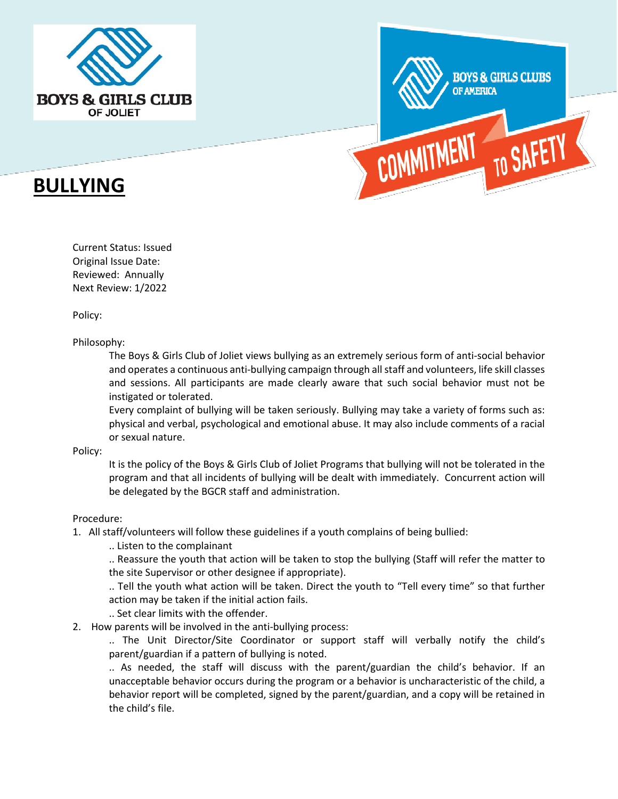



# **BULLYING**

Current Status: Issued Original Issue Date: Reviewed: Annually Next Review: 1/2022

Policy:

Philosophy:

The Boys & Girls Club of Joliet views bullying as an extremely serious form of anti-social behavior and operates a continuous anti-bullying campaign through all staff and volunteers, life skill classes and sessions. All participants are made clearly aware that such social behavior must not be instigated or tolerated.

Every complaint of bullying will be taken seriously. Bullying may take a variety of forms such as: physical and verbal, psychological and emotional abuse. It may also include comments of a racial or sexual nature.

Policy:

It is the policy of the Boys & Girls Club of Joliet Programs that bullying will not be tolerated in the program and that all incidents of bullying will be dealt with immediately. Concurrent action will be delegated by the BGCR staff and administration.

#### Procedure:

- 1. All staff/volunteers will follow these guidelines if a youth complains of being bullied:
	- .. Listen to the complainant

.. Reassure the youth that action will be taken to stop the bullying (Staff will refer the matter to the site Supervisor or other designee if appropriate).

.. Tell the youth what action will be taken. Direct the youth to "Tell every time" so that further action may be taken if the initial action fails.

.. Set clear limits with the offender.

2. How parents will be involved in the anti-bullying process:

.. The Unit Director/Site Coordinator or support staff will verbally notify the child's parent/guardian if a pattern of bullying is noted.

.. As needed, the staff will discuss with the parent/guardian the child's behavior. If an unacceptable behavior occurs during the program or a behavior is uncharacteristic of the child, a behavior report will be completed, signed by the parent/guardian, and a copy will be retained in the child's file.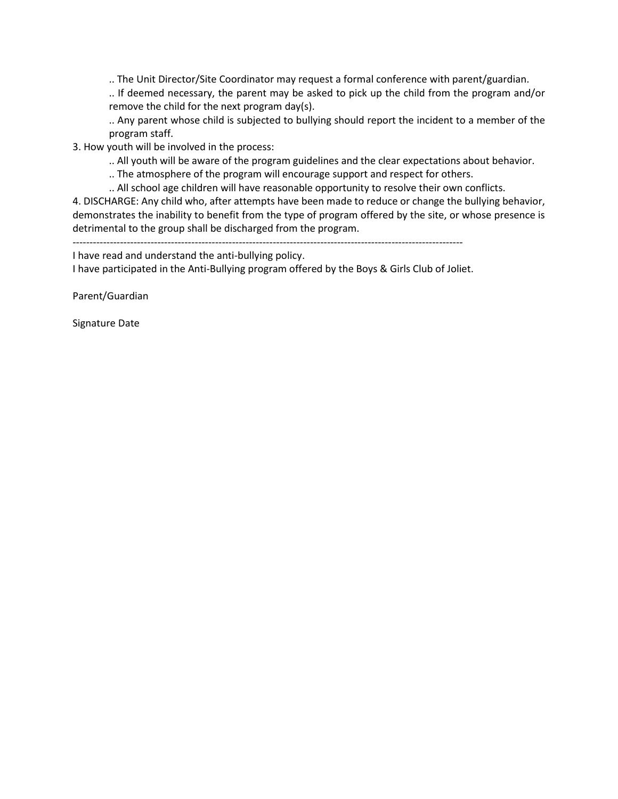.. The Unit Director/Site Coordinator may request a formal conference with parent/guardian.

.. If deemed necessary, the parent may be asked to pick up the child from the program and/or remove the child for the next program day(s).

.. Any parent whose child is subjected to bullying should report the incident to a member of the program staff.

3. How youth will be involved in the process:

.. All youth will be aware of the program guidelines and the clear expectations about behavior.

.. The atmosphere of the program will encourage support and respect for others.

.. All school age children will have reasonable opportunity to resolve their own conflicts.

4. DISCHARGE: Any child who, after attempts have been made to reduce or change the bullying behavior, demonstrates the inability to benefit from the type of program offered by the site, or whose presence is detrimental to the group shall be discharged from the program.

-------------------------------------------------------------------------------------------------------------------

I have read and understand the anti-bullying policy.

I have participated in the Anti-Bullying program offered by the Boys & Girls Club of Joliet.

Parent/Guardian

Signature Date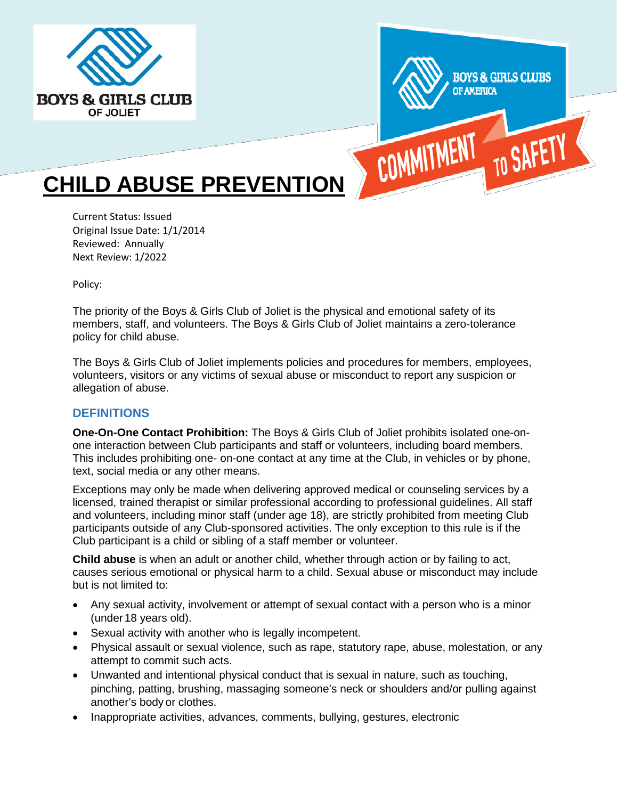



# **CHILD ABUSE PREVENTION**

Current Status: Issued Original Issue Date: 1/1/2014 Reviewed: Annually Next Review: 1/2022

Policy:

The priority of the Boys & Girls Club of Joliet is the physical and emotional safety of its members, staff, and volunteers. The Boys & Girls Club of Joliet maintains a zero-tolerance policy for child abuse.

The Boys & Girls Club of Joliet implements policies and procedures for members, employees, volunteers, visitors or any victims of sexual abuse or misconduct to report any suspicion or allegation of abuse.

## **DEFINITIONS**

**One-On-One Contact Prohibition:** The Boys & Girls Club of Joliet prohibits isolated one-onone interaction between Club participants and staff or volunteers, including board members. This includes prohibiting one- on-one contact at any time at the Club, in vehicles or by phone, text, social media or any other means.

Exceptions may only be made when delivering approved medical or counseling services by a licensed, trained therapist or similar professional according to professional guidelines. All staff and volunteers, including minor staff (under age 18), are strictly prohibited from meeting Club participants outside of any Club-sponsored activities. The only exception to this rule is if the Club participant is a child or sibling of a staff member or volunteer.

**Child abuse** is when an adult or another child, whether through action or by failing to act, causes serious emotional or physical harm to a child. Sexual abuse or misconduct may include but is not limited to:

- Any sexual activity, involvement or attempt of sexual contact with a person who is a minor (under 18 years old).
- Sexual activity with another who is legally incompetent.
- Physical assault or sexual violence, such as rape, statutory rape, abuse, molestation, or any attempt to commit such acts.
- Unwanted and intentional physical conduct that is sexual in nature, such as touching, pinching, patting, brushing, massaging someone's neck or shoulders and/or pulling against another's body or clothes.
- Inappropriate activities, advances, comments, bullying, gestures, electronic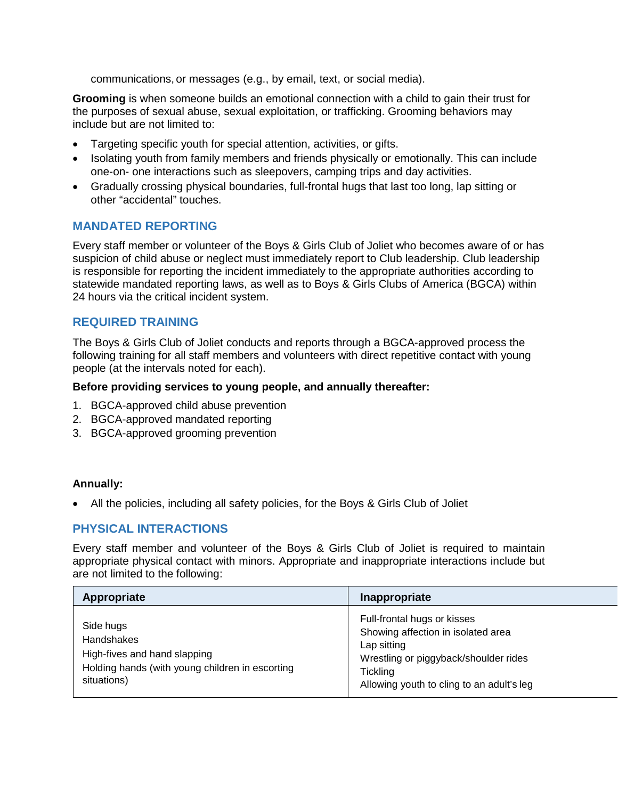communications, or messages (e.g., by email, text, or social media).

**Grooming** is when someone builds an emotional connection with a child to gain their trust for the purposes of sexual abuse, sexual exploitation, or trafficking. Grooming behaviors may include but are not limited to:

- Targeting specific youth for special attention, activities, or gifts.
- Isolating youth from family members and friends physically or emotionally. This can include one-on- one interactions such as sleepovers, camping trips and day activities.
- Gradually crossing physical boundaries, full-frontal hugs that last too long, lap sitting or other "accidental" touches.

# **MANDATED REPORTING**

Every staff member or volunteer of the Boys & Girls Club of Joliet who becomes aware of or has suspicion of child abuse or neglect must immediately report to Club leadership. Club leadership is responsible for reporting the incident immediately to the appropriate authorities according to statewide mandated reporting laws, as well as to Boys & Girls Clubs of America (BGCA) within 24 hours via the critical incident system.

## **REQUIRED TRAINING**

The Boys & Girls Club of Joliet conducts and reports through a BGCA-approved process the following training for all staff members and volunteers with direct repetitive contact with young people (at the intervals noted for each).

#### **Before providing services to young people, and annually thereafter:**

- 1. BGCA-approved child abuse prevention
- 2. BGCA-approved mandated reporting
- 3. BGCA-approved grooming prevention

#### **Annually:**

• All the policies, including all safety policies, for the Boys & Girls Club of Joliet

## **PHYSICAL INTERACTIONS**

Every staff member and volunteer of the Boys & Girls Club of Joliet is required to maintain appropriate physical contact with minors. Appropriate and inappropriate interactions include but are not limited to the following:

| Appropriate                                                                                                                      | Inappropriate                                                                                                                                                                             |
|----------------------------------------------------------------------------------------------------------------------------------|-------------------------------------------------------------------------------------------------------------------------------------------------------------------------------------------|
| Side hugs<br><b>Handshakes</b><br>High-fives and hand slapping<br>Holding hands (with young children in escorting<br>situations) | Full-frontal hugs or kisses<br>Showing affection in isolated area<br>Lap sitting<br>Wrestling or piggyback/shoulder rides<br><b>Tickling</b><br>Allowing youth to cling to an adult's leg |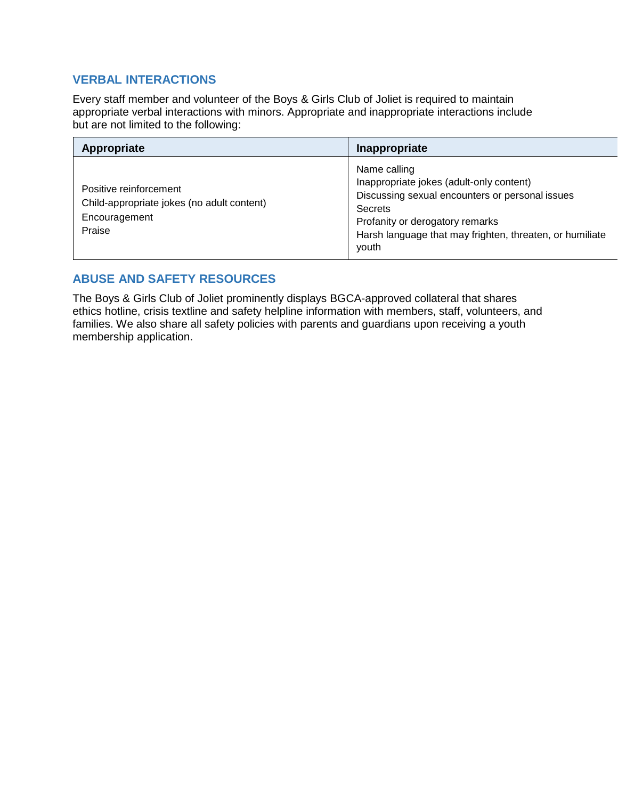# **VERBAL INTERACTIONS**

Every staff member and volunteer of the Boys & Girls Club of Joliet is required to maintain appropriate verbal interactions with minors. Appropriate and inappropriate interactions include but are not limited to the following:

| Appropriate                                                                                     | Inappropriate                                                                                                                                                                                                                         |
|-------------------------------------------------------------------------------------------------|---------------------------------------------------------------------------------------------------------------------------------------------------------------------------------------------------------------------------------------|
| Positive reinforcement<br>Child-appropriate jokes (no adult content)<br>Encouragement<br>Praise | Name calling<br>Inappropriate jokes (adult-only content)<br>Discussing sexual encounters or personal issues<br><b>Secrets</b><br>Profanity or derogatory remarks<br>Harsh language that may frighten, threaten, or humiliate<br>youth |

# **ABUSE AND SAFETY RESOURCES**

The Boys & Girls Club of Joliet prominently displays BGCA-approved collateral that shares ethics hotline, crisis textline and safety helpline information with members, staff, volunteers, and families. We also share all safety policies with parents and guardians upon receiving a youth membership application.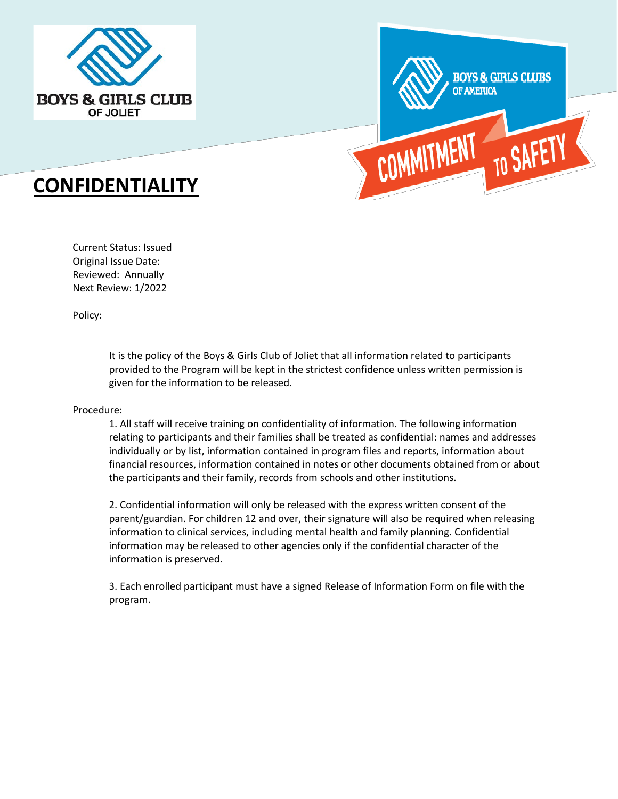



# **CONFIDENTIALITY**

Current Status: Issued Original Issue Date: Reviewed: Annually Next Review: 1/2022

Policy:

It is the policy of the Boys & Girls Club of Joliet that all information related to participants provided to the Program will be kept in the strictest confidence unless written permission is given for the information to be released.

Procedure:

1. All staff will receive training on confidentiality of information. The following information relating to participants and their families shall be treated as confidential: names and addresses individually or by list, information contained in program files and reports, information about financial resources, information contained in notes or other documents obtained from or about the participants and their family, records from schools and other institutions.

2. Confidential information will only be released with the express written consent of the parent/guardian. For children 12 and over, their signature will also be required when releasing information to clinical services, including mental health and family planning. Confidential information may be released to other agencies only if the confidential character of the information is preserved.

3. Each enrolled participant must have a signed Release of Information Form on file with the program.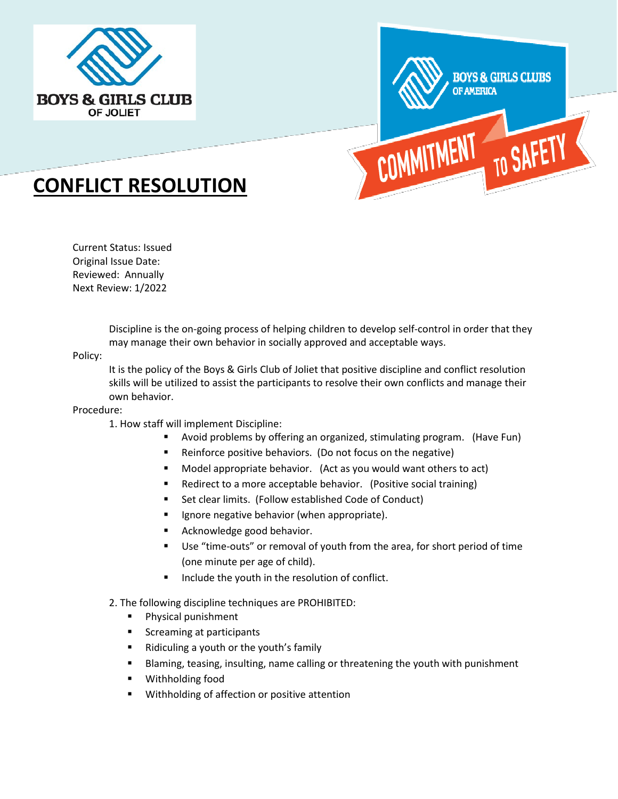



# **CONFLICT RESOLUTION**

Current Status: Issued Original Issue Date: Reviewed: Annually Next Review: 1/2022

> Discipline is the on-going process of helping children to develop self-control in order that they may manage their own behavior in socially approved and acceptable ways.

#### Policy:

It is the policy of the Boys & Girls Club of Joliet that positive discipline and conflict resolution skills will be utilized to assist the participants to resolve their own conflicts and manage their own behavior.

#### Procedure:

- 1. How staff will implement Discipline:
	- Avoid problems by offering an organized, stimulating program. (Have Fun)
	- **Reinforce positive behaviors. (Do not focus on the negative)**
	- Model appropriate behavior. (Act as you would want others to act)
	- Redirect to a more acceptable behavior. (Positive social training)
	- **Set clear limits. (Follow established Code of Conduct)**
	- **If** Ignore negative behavior (when appropriate).
	- **Acknowledge good behavior.**
	- Use "time-outs" or removal of youth from the area, for short period of time (one minute per age of child).
	- **Include the youth in the resolution of conflict.**
- 2. The following discipline techniques are PROHIBITED:
	- **Physical punishment**
	- Screaming at participants
	- Ridiculing a youth or the youth's family
	- Blaming, teasing, insulting, name calling or threatening the youth with punishment
	- **Withholding food**
	- **Withholding of affection or positive attention**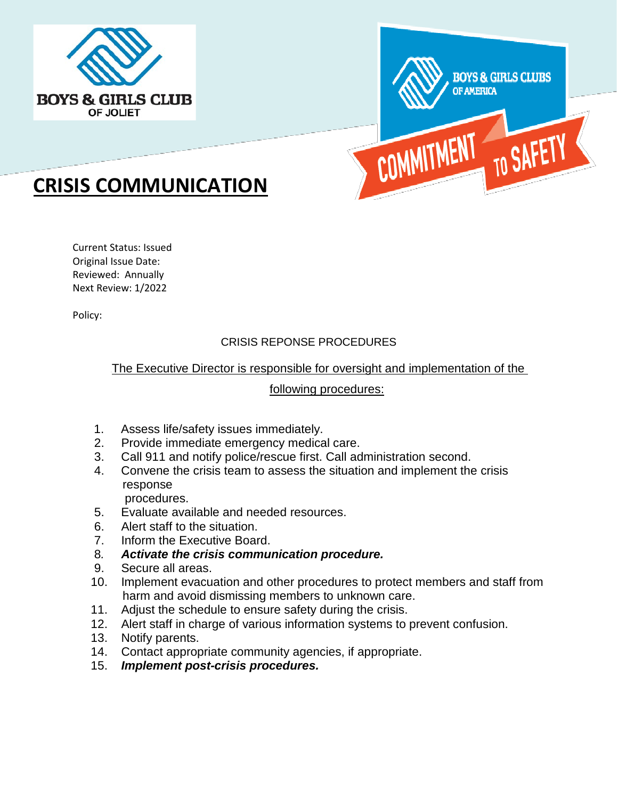



# **CRISIS COMMUNICATION**

Current Status: Issued Original Issue Date: Reviewed: Annually Next Review: 1/2022

Policy:

# CRISIS REPONSE PROCEDURES

# The Executive Director is responsible for oversight and implementation of the

# following procedures:

- 1. Assess life/safety issues immediately.
- 2. Provide immediate emergency medical care.
- 3. Call 911 and notify police/rescue first. Call administration second.
- 4. Convene the crisis team to assess the situation and implement the crisis response
	- procedures.
- 5. Evaluate available and needed resources.
- 6. Alert staff to the situation.
- 7. Inform the Executive Board.
- 8*. Activate the crisis communication procedure.*
- 9. Secure all areas.
- 10. Implement evacuation and other procedures to protect members and staff from harm and avoid dismissing members to unknown care.
- 11. Adjust the schedule to ensure safety during the crisis.
- 12. Alert staff in charge of various information systems to prevent confusion.
- 13. Notify parents.
- 14. Contact appropriate community agencies, if appropriate.
- 15. *Implement post-crisis procedures.*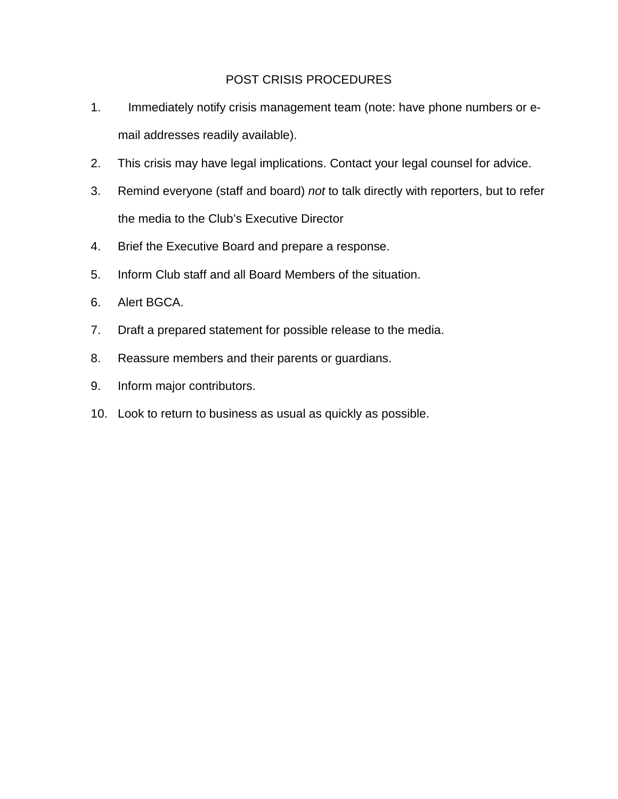## POST CRISIS PROCEDURES

- 1. Immediately notify crisis management team (note: have phone numbers or email addresses readily available).
- 2. This crisis may have legal implications. Contact your legal counsel for advice.
- 3. Remind everyone (staff and board) *not* to talk directly with reporters, but to refer the media to the Club's Executive Director
- 4. Brief the Executive Board and prepare a response.
- 5. Inform Club staff and all Board Members of the situation.
- 6. Alert BGCA.
- 7. Draft a prepared statement for possible release to the media.
- 8. Reassure members and their parents or guardians.
- 9. Inform major contributors.
- 10. Look to return to business as usual as quickly as possible.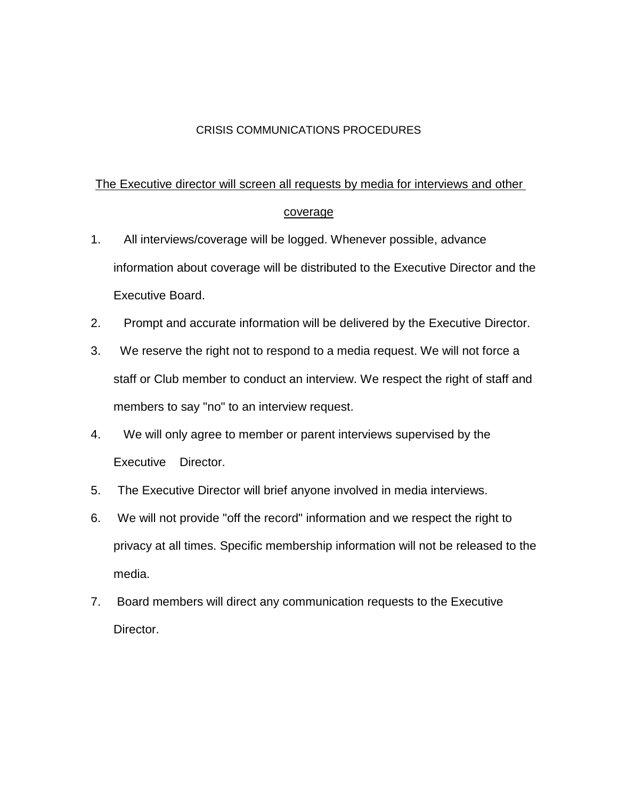## CRISIS COMMUNICATIONS PROCEDURES

## The Executive director will screen all requests by media for interviews and other

#### coverage

- 1. All interviews/coverage will be logged. Whenever possible, advance information about coverage will be distributed to the Executive Director and the Executive Board.
- 2. Prompt and accurate information will be delivered by the Executive Director.
- 3. We reserve the right not to respond to a media request. We will not force a staff or Club member to conduct an interview. We respect the right of staff and members to say "no" to an interview request.
- 4. We will only agree to member or parent interviews supervised by the Executive Director.
- 5. The Executive Director will brief anyone involved in media interviews.
- 6. We will not provide "off the record" information and we respect the right to privacy at all times. Specific membership information will not be released to the media.
- 7. Board members will direct any communication requests to the Executive Director.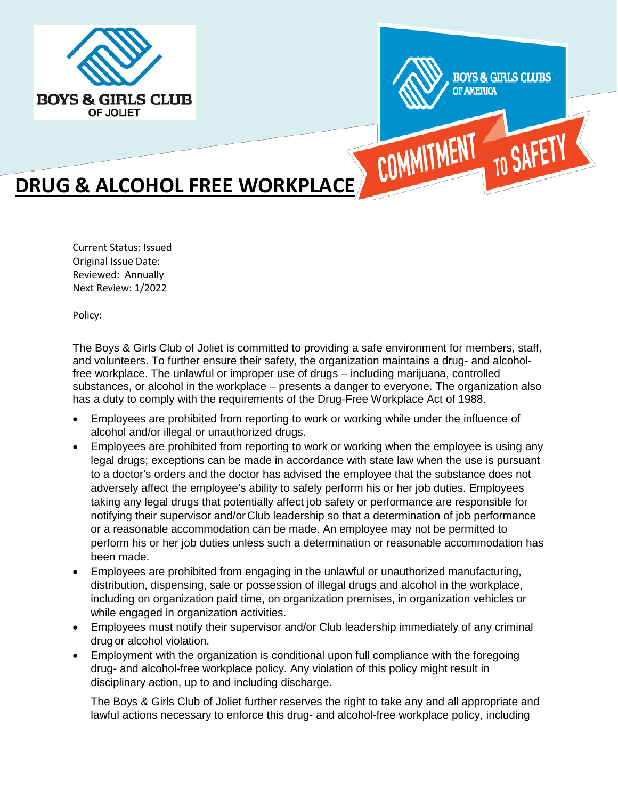



# **DRUG & ALCOHOL FREE WORKPLACE COMMITMEN**

Current Status: Issued Original Issue Date: Reviewed: Annually Next Review: 1/2022

Policy:

The Boys & Girls Club of Joliet is committed to providing a safe environment for members, staff, and volunteers. To further ensure their safety, the organization maintains a drug- and alcoholfree workplace. The unlawful or improper use of drugs – including marijuana, controlled substances, or alcohol in the workplace – presents a danger to everyone. The organization also has a duty to comply with the requirements of the Drug-Free Workplace Act of 1988.

- Employees are prohibited from reporting to work or working while under the influence of alcohol and/or illegal or unauthorized drugs.
- Employees are prohibited from reporting to work or working when the employee is using any legal drugs; exceptions can be made in accordance with state law when the use is pursuant to a doctor's orders and the doctor has advised the employee that the substance does not adversely affect the employee's ability to safely perform his or her job duties. Employees taking any legal drugs that potentially affect job safety or performance are responsible for notifying their supervisor and/orClub leadership so that a determination of job performance or a reasonable accommodation can be made. An employee may not be permitted to perform his or her job duties unless such a determination or reasonable accommodation has been made.
- Employees are prohibited from engaging in the unlawful or unauthorized manufacturing, distribution, dispensing, sale or possession of illegal drugs and alcohol in the workplace, including on organization paid time, on organization premises, in organization vehicles or while engaged in organization activities.
- Employees must notify their supervisor and/or Club leadership immediately of any criminal drug or alcohol violation.
- Employment with the organization is conditional upon full compliance with the foregoing drug- and alcohol-free workplace policy. Any violation of this policy might result in disciplinary action, up to and including discharge.

The Boys & Girls Club of Joliet further reserves the right to take any and all appropriate and lawful actions necessary to enforce this drug- and alcohol-free workplace policy, including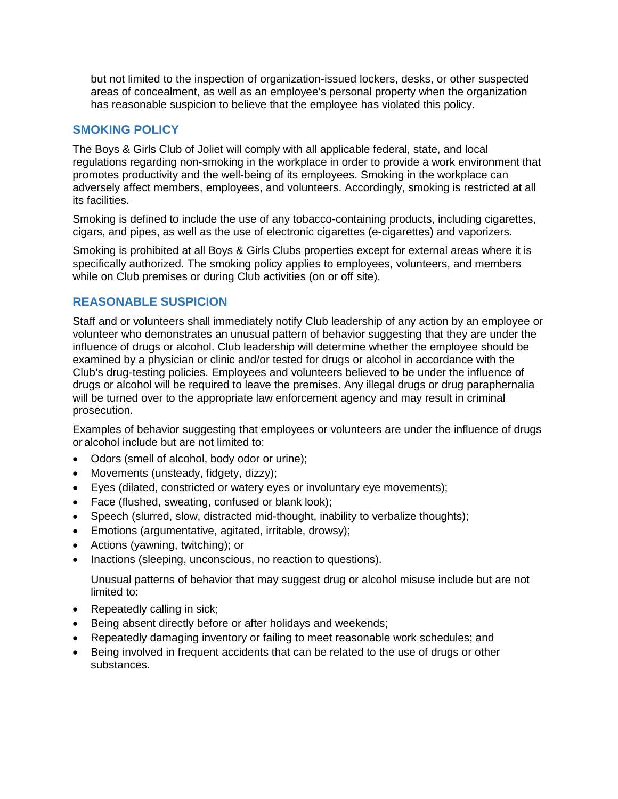but not limited to the inspection of organization-issued lockers, desks, or other suspected areas of concealment, as well as an employee's personal property when the organization has reasonable suspicion to believe that the employee has violated this policy.

## **SMOKING POLICY**

The Boys & Girls Club of Joliet will comply with all applicable federal, state, and local regulations regarding non-smoking in the workplace in order to provide a work environment that promotes productivity and the well-being of its employees. Smoking in the workplace can adversely affect members, employees, and volunteers. Accordingly, smoking is restricted at all its facilities.

Smoking is defined to include the use of any tobacco-containing products, including cigarettes, cigars, and pipes, as well as the use of electronic cigarettes (e-cigarettes) and vaporizers.

Smoking is prohibited at all Boys & Girls Clubs properties except for external areas where it is specifically authorized. The smoking policy applies to employees, volunteers, and members while on Club premises or during Club activities (on or off site).

# **REASONABLE SUSPICION**

Staff and or volunteers shall immediately notify Club leadership of any action by an employee or volunteer who demonstrates an unusual pattern of behavior suggesting that they are under the influence of drugs or alcohol. Club leadership will determine whether the employee should be examined by a physician or clinic and/or tested for drugs or alcohol in accordance with the Club's drug-testing policies. Employees and volunteers believed to be under the influence of drugs or alcohol will be required to leave the premises. Any illegal drugs or drug paraphernalia will be turned over to the appropriate law enforcement agency and may result in criminal prosecution.

Examples of behavior suggesting that employees or volunteers are under the influence of drugs or alcohol include but are not limited to:

- Odors (smell of alcohol, body odor or urine);
- Movements (unsteady, fidgety, dizzy);
- Eyes (dilated, constricted or watery eyes or involuntary eye movements);
- Face (flushed, sweating, confused or blank look);
- Speech (slurred, slow, distracted mid-thought, inability to verbalize thoughts);
- Emotions (argumentative, agitated, irritable, drowsy);
- Actions (yawning, twitching); or
- Inactions (sleeping, unconscious, no reaction to questions).

Unusual patterns of behavior that may suggest drug or alcohol misuse include but are not limited to:

- Repeatedly calling in sick;
- Being absent directly before or after holidays and weekends;
- Repeatedly damaging inventory or failing to meet reasonable work schedules; and
- Being involved in frequent accidents that can be related to the use of drugs or other substances.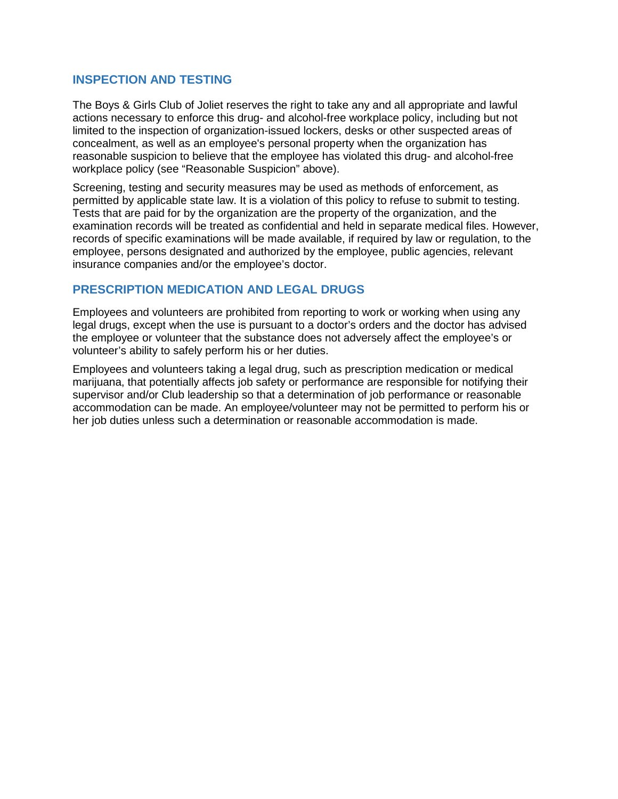## **INSPECTION AND TESTING**

The Boys & Girls Club of Joliet reserves the right to take any and all appropriate and lawful actions necessary to enforce this drug- and alcohol-free workplace policy, including but not limited to the inspection of organization-issued lockers, desks or other suspected areas of concealment, as well as an employee's personal property when the organization has reasonable suspicion to believe that the employee has violated this drug- and alcohol-free workplace policy (see "Reasonable Suspicion" above).

Screening, testing and security measures may be used as methods of enforcement, as permitted by applicable state law. It is a violation of this policy to refuse to submit to testing. Tests that are paid for by the organization are the property of the organization, and the examination records will be treated as confidential and held in separate medical files. However, records of specific examinations will be made available, if required by law or regulation, to the employee, persons designated and authorized by the employee, public agencies, relevant insurance companies and/or the employee's doctor.

## **PRESCRIPTION MEDICATION AND LEGAL DRUGS**

Employees and volunteers are prohibited from reporting to work or working when using any legal drugs, except when the use is pursuant to a doctor's orders and the doctor has advised the employee or volunteer that the substance does not adversely affect the employee's or volunteer's ability to safely perform his or her duties.

Employees and volunteers taking a legal drug, such as prescription medication or medical marijuana, that potentially affects job safety or performance are responsible for notifying their supervisor and/or Club leadership so that a determination of job performance or reasonable accommodation can be made. An employee/volunteer may not be permitted to perform his or her job duties unless such a determination or reasonable accommodation is made.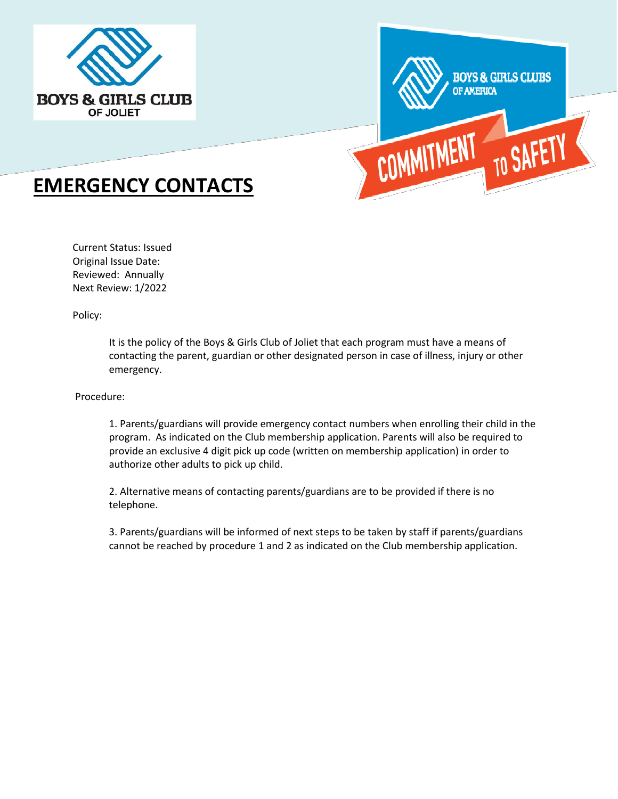



# **EMERGENCY CONTACTS**

Current Status: Issued Original Issue Date: Reviewed: Annually Next Review: 1/2022

Policy:

It is the policy of the Boys & Girls Club of Joliet that each program must have a means of contacting the parent, guardian or other designated person in case of illness, injury or other emergency.

Procedure:

1. Parents/guardians will provide emergency contact numbers when enrolling their child in the program. As indicated on the Club membership application. Parents will also be required to provide an exclusive 4 digit pick up code (written on membership application) in order to authorize other adults to pick up child.

2. Alternative means of contacting parents/guardians are to be provided if there is no telephone.

3. Parents/guardians will be informed of next steps to be taken by staff if parents/guardians cannot be reached by procedure 1 and 2 as indicated on the Club membership application.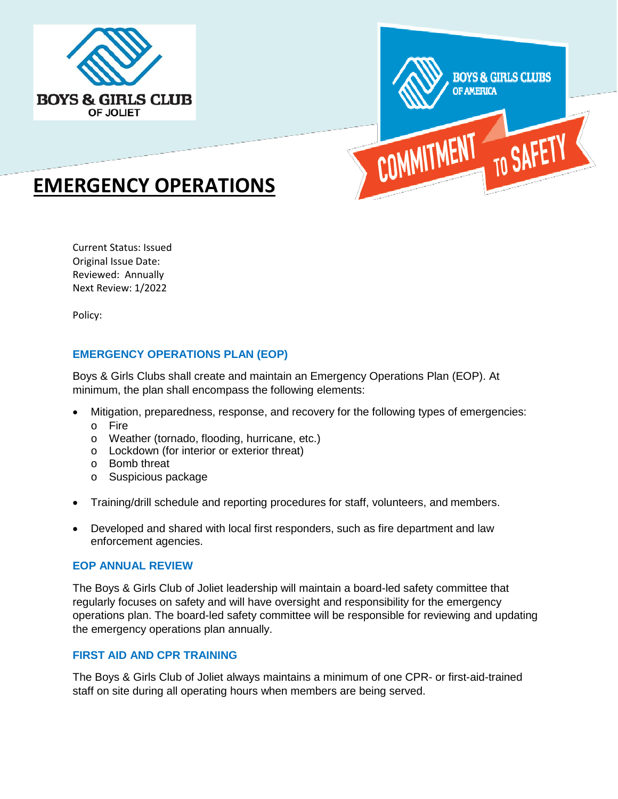



# **EMERGENCY OPERATIONS**

Current Status: Issued Original Issue Date: Reviewed: Annually Next Review: 1/2022

Policy:

## **EMERGENCY OPERATIONS PLAN (EOP)**

Boys & Girls Clubs shall create and maintain an Emergency Operations Plan (EOP). At minimum, the plan shall encompass the following elements:

- Mitigation, preparedness, response, and recovery for the following types of emergencies:
	- o Fire
	- o Weather (tornado, flooding, hurricane, etc.)
	- o Lockdown (for interior or exterior threat)
	- o Bomb threat
	- o Suspicious package
- Training/drill schedule and reporting procedures for staff, volunteers, and members.
- Developed and shared with local first responders, such as fire department and law enforcement agencies.

#### **EOP ANNUAL REVIEW**

The Boys & Girls Club of Joliet leadership will maintain a board-led safety committee that regularly focuses on safety and will have oversight and responsibility for the emergency operations plan. The board-led safety committee will be responsible for reviewing and updating the emergency operations plan annually.

#### **FIRST AID AND CPR TRAINING**

The Boys & Girls Club of Joliet always maintains a minimum of one CPR- or first-aid-trained staff on site during all operating hours when members are being served.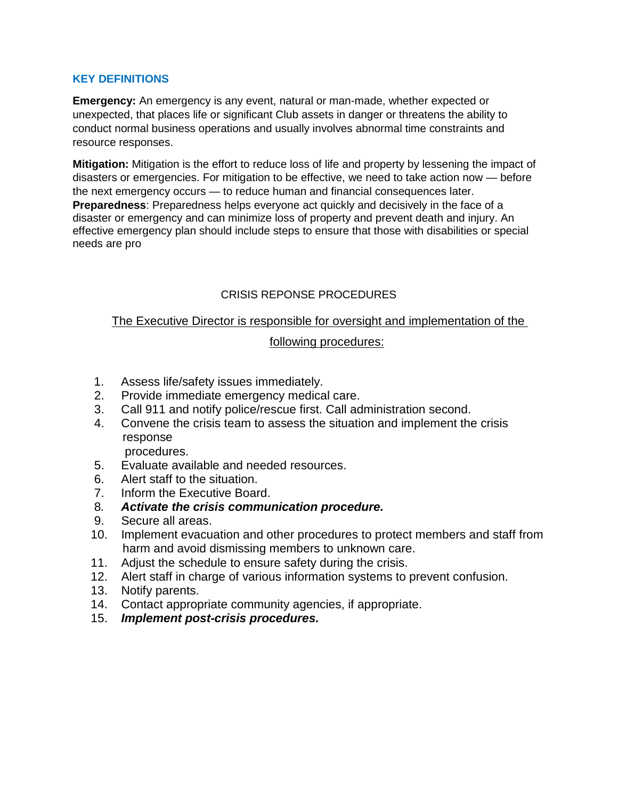## **KEY DEFINITIONS**

**Emergency:** An emergency is any event, natural or man-made, whether expected or unexpected, that places life or significant Club assets in danger or threatens the ability to conduct normal business operations and usually involves abnormal time constraints and resource responses.

**Mitigation:** Mitigation is the effort to reduce loss of life and property by lessening the impact of disasters or emergencies. For mitigation to be effective, we need to take action now — before the next emergency occurs — to reduce human and financial consequences later. **Preparedness**: Preparedness helps everyone act quickly and decisively in the face of a disaster or emergency and can minimize loss of property and prevent death and injury. An effective emergency plan should include steps to ensure that those with disabilities or special needs are pro

# CRISIS REPONSE PROCEDURES

# The Executive Director is responsible for oversight and implementation of the

## following procedures:

- 1. Assess life/safety issues immediately.
- 2. Provide immediate emergency medical care.
- 3. Call 911 and notify police/rescue first. Call administration second.
- 4. Convene the crisis team to assess the situation and implement the crisis response

procedures.

- 5. Evaluate available and needed resources.
- 6. Alert staff to the situation.
- 7. Inform the Executive Board.
- 8*. Activate the crisis communication procedure.*
- 9. Secure all areas.
- 10. Implement evacuation and other procedures to protect members and staff from harm and avoid dismissing members to unknown care.
- 11. Adjust the schedule to ensure safety during the crisis.
- 12. Alert staff in charge of various information systems to prevent confusion.
- 13. Notify parents.
- 14. Contact appropriate community agencies, if appropriate.
- 15. *Implement post-crisis procedures.*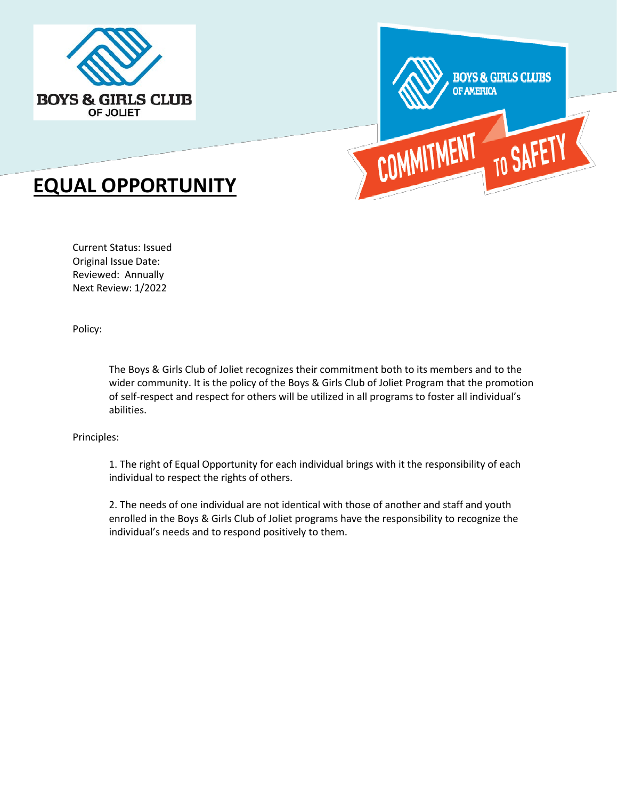



# **EQUAL OPPORTUNITY**

Current Status: Issued Original Issue Date: Reviewed: Annually Next Review: 1/2022

Policy:

The Boys & Girls Club of Joliet recognizes their commitment both to its members and to the wider community. It is the policy of the Boys & Girls Club of Joliet Program that the promotion of self-respect and respect for others will be utilized in all programs to foster all individual's abilities.

#### Principles:

1. The right of Equal Opportunity for each individual brings with it the responsibility of each individual to respect the rights of others.

2. The needs of one individual are not identical with those of another and staff and youth enrolled in the Boys & Girls Club of Joliet programs have the responsibility to recognize the individual's needs and to respond positively to them.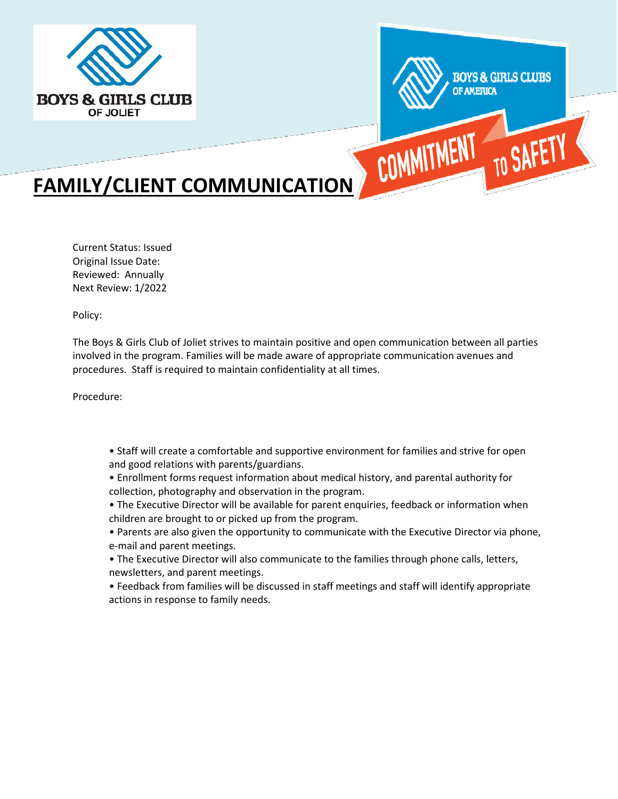



# **FAMILY/CLIENT COMMUNICATION**

Current Status: Issued Original Issue Date: Reviewed: Annually Next Review: 1/2022

Policy:

The Boys & Girls Club of Joliet strives to maintain positive and open communication between all parties involved in the program. Families will be made aware of appropriate communication avenues and procedures. Staff is required to maintain confidentiality at all times.

Procedure:

- Staff will create a comfortable and supportive environment for families and strive for open and good relations with parents/guardians.
- Enrollment forms request information about medical history, and parental authority for collection, photography and observation in the program.
- The Executive Director will be available for parent enquiries, feedback or information when children are brought to or picked up from the program.
- Parents are also given the opportunity to communicate with the Executive Director via phone, e-mail and parent meetings.
- The Executive Director will also communicate to the families through phone calls, letters, newsletters, and parent meetings.
- Feedback from families will be discussed in staff meetings and staff will identify appropriate actions in response to family needs.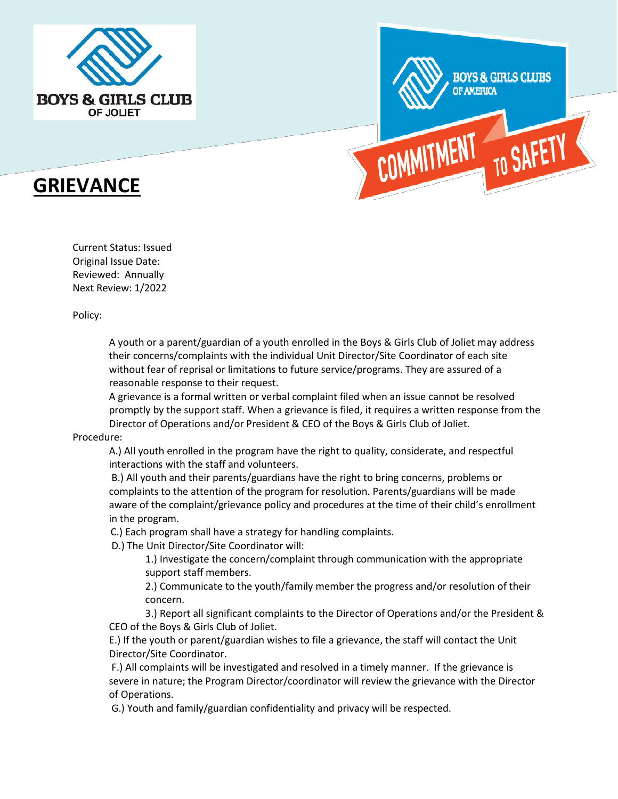





Current Status: Issued Original Issue Date: Reviewed: Annually Next Review: 1/2022

Policy:

A youth or a parent/guardian of a youth enrolled in the Boys & Girls Club of Joliet may address their concerns/complaints with the individual Unit Director/Site Coordinator of each site without fear of reprisal or limitations to future service/programs. They are assured of a reasonable response to their request.

A grievance is a formal written or verbal complaint filed when an issue cannot be resolved promptly by the support staff. When a grievance is filed, it requires a written response from the Director of Operations and/or President & CEO of the Boys & Girls Club of Joliet.

#### Procedure:

A.) All youth enrolled in the program have the right to quality, considerate, and respectful interactions with the staff and volunteers.

B.) All youth and their parents/guardians have the right to bring concerns, problems or complaints to the attention of the program for resolution. Parents/guardians will be made aware of the complaint/grievance policy and procedures at the time of their child's enrollment in the program.

C.) Each program shall have a strategy for handling complaints.

D.) The Unit Director/Site Coordinator will:

1.) Investigate the concern/complaint through communication with the appropriate support staff members.

2.) Communicate to the youth/family member the progress and/or resolution of their concern.

3.) Report all significant complaints to the Director of Operations and/or the President & CEO of the Boys & Girls Club of Joliet.

E.) If the youth or parent/guardian wishes to file a grievance, the staff will contact the Unit Director/Site Coordinator.

F.) All complaints will be investigated and resolved in a timely manner. If the grievance is severe in nature; the Program Director/coordinator will review the grievance with the Director of Operations.

G.) Youth and family/guardian confidentiality and privacy will be respected.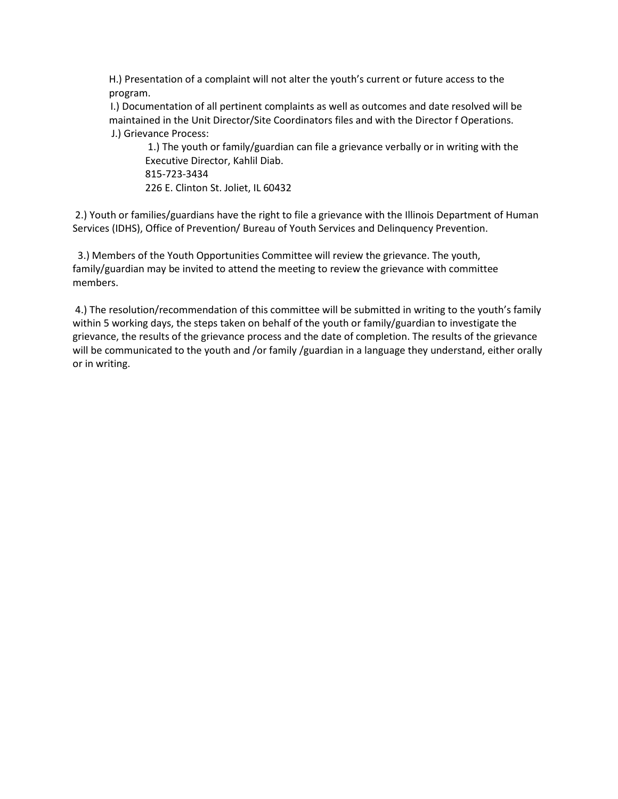H.) Presentation of a complaint will not alter the youth's current or future access to the program.

I.) Documentation of all pertinent complaints as well as outcomes and date resolved will be maintained in the Unit Director/Site Coordinators files and with the Director f Operations. J.) Grievance Process:

1.) The youth or family/guardian can file a grievance verbally or in writing with the Executive Director, Kahlil Diab. 815-723-3434 226 E. Clinton St. Joliet, IL 60432

2.) Youth or families/guardians have the right to file a grievance with the Illinois Department of Human Services (IDHS), Office of Prevention/ Bureau of Youth Services and Delinquency Prevention.

 3.) Members of the Youth Opportunities Committee will review the grievance. The youth, family/guardian may be invited to attend the meeting to review the grievance with committee members.

4.) The resolution/recommendation of this committee will be submitted in writing to the youth's family within 5 working days, the steps taken on behalf of the youth or family/guardian to investigate the grievance, the results of the grievance process and the date of completion. The results of the grievance will be communicated to the youth and /or family /guardian in a language they understand, either orally or in writing.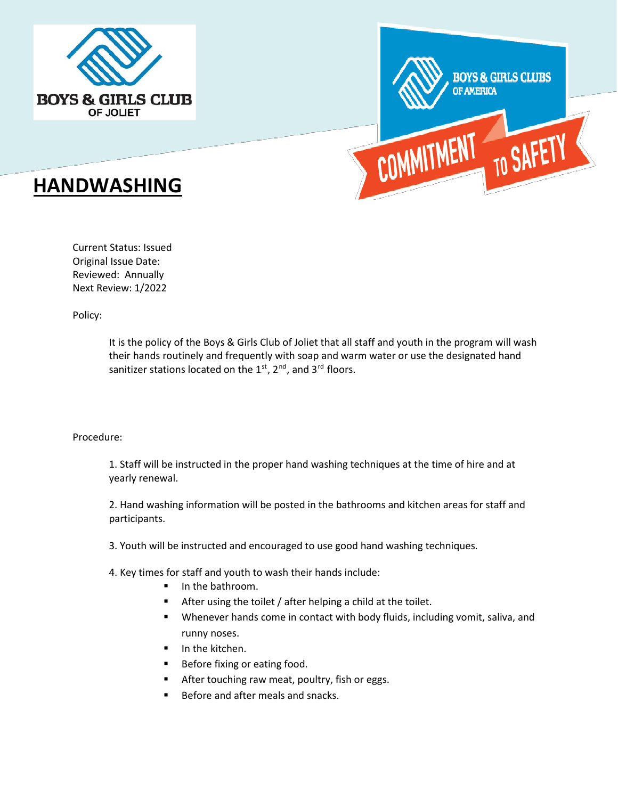





Current Status: Issued Original Issue Date: Reviewed: Annually Next Review: 1/2022

Policy:

It is the policy of the Boys & Girls Club of Joliet that all staff and youth in the program will wash their hands routinely and frequently with soap and warm water or use the designated hand sanitizer stations located on the  $1<sup>st</sup>$ ,  $2<sup>nd</sup>$ , and  $3<sup>rd</sup>$  floors.

#### Procedure:

1. Staff will be instructed in the proper hand washing techniques at the time of hire and at yearly renewal.

2. Hand washing information will be posted in the bathrooms and kitchen areas for staff and participants.

3. Youth will be instructed and encouraged to use good hand washing techniques.

4. Key times for staff and youth to wash their hands include:

- In the bathroom.
- **After using the toilet / after helping a child at the toilet.**
- Whenever hands come in contact with body fluids, including vomit, saliva, and runny noses.
- **In the kitchen.**
- Before fixing or eating food.
- After touching raw meat, poultry, fish or eggs.
- Before and after meals and snacks.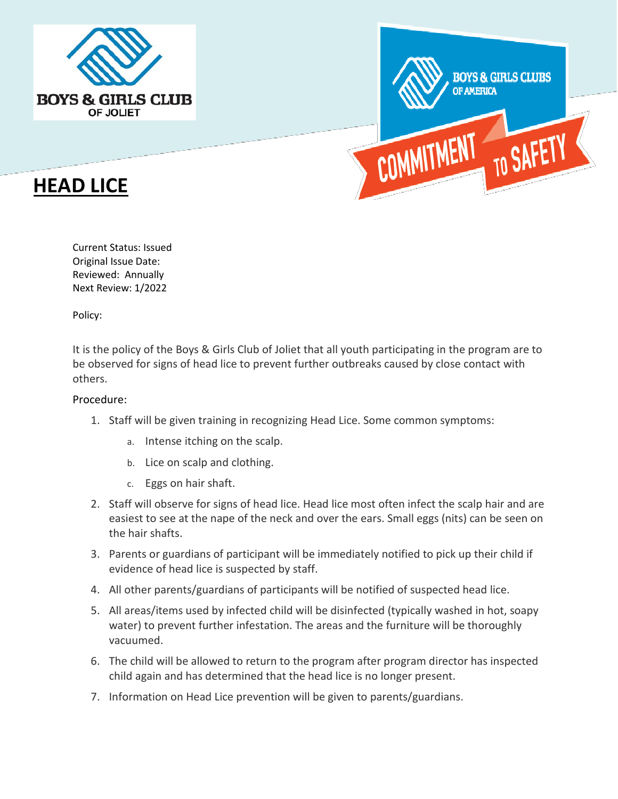



# **HEAD LICE**

Current Status: Issued Original Issue Date: Reviewed: Annually Next Review: 1/2022

Policy:

It is the policy of the Boys & Girls Club of Joliet that all youth participating in the program are to be observed for signs of head lice to prevent further outbreaks caused by close contact with others.

## Procedure:

- 1. Staff will be given training in recognizing Head Lice. Some common symptoms:
	- a. Intense itching on the scalp.
	- b. Lice on scalp and clothing.
	- c. Eggs on hair shaft.
- 2. Staff will observe for signs of head lice. Head lice most often infect the scalp hair and are easiest to see at the nape of the neck and over the ears. Small eggs (nits) can be seen on the hair shafts.
- 3. Parents or guardians of participant will be immediately notified to pick up their child if evidence of head lice is suspected by staff.
- 4. All other parents/guardians of participants will be notified of suspected head lice.
- 5. All areas/items used by infected child will be disinfected (typically washed in hot, soapy water) to prevent further infestation. The areas and the furniture will be thoroughly vacuumed.
- 6. The child will be allowed to return to the program after program director has inspected child again and has determined that the head lice is no longer present.
- 7. Information on Head Lice prevention will be given to parents/guardians.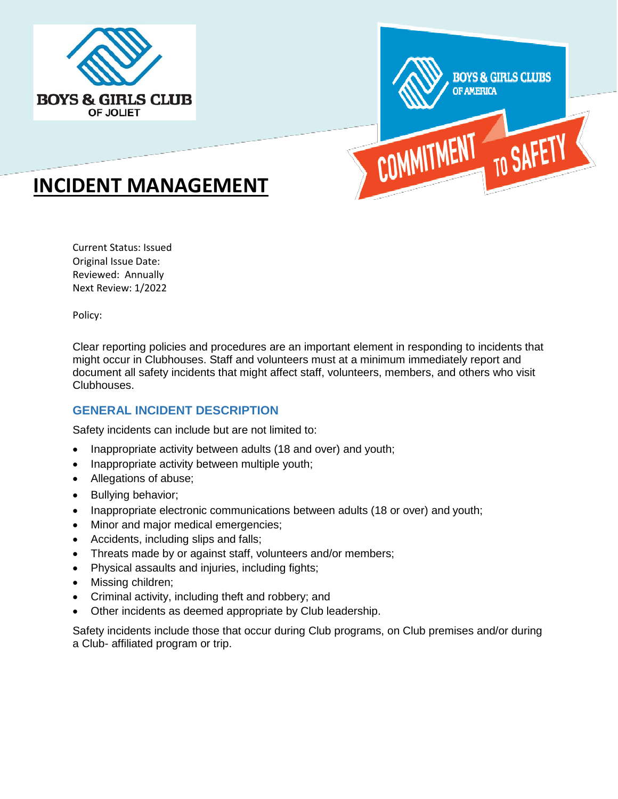



# **INCIDENT MANAGEMENT**

Current Status: Issued Original Issue Date: Reviewed: Annually Next Review: 1/2022

Policy:

Clear reporting policies and procedures are an important element in responding to incidents that might occur in Clubhouses. Staff and volunteers must at a minimum immediately report and document all safety incidents that might affect staff, volunteers, members, and others who visit Clubhouses.

# **GENERAL INCIDENT DESCRIPTION**

Safety incidents can include but are not limited to:

- Inappropriate activity between adults (18 and over) and youth;
- Inappropriate activity between multiple youth;
- Allegations of abuse;
- Bullying behavior;
- Inappropriate electronic communications between adults (18 or over) and youth;
- Minor and major medical emergencies;
- Accidents, including slips and falls;
- Threats made by or against staff, volunteers and/or members;
- Physical assaults and injuries, including fights;
- Missing children;
- Criminal activity, including theft and robbery; and
- Other incidents as deemed appropriate by Club leadership.

Safety incidents include those that occur during Club programs, on Club premises and/or during a Club- affiliated program or trip.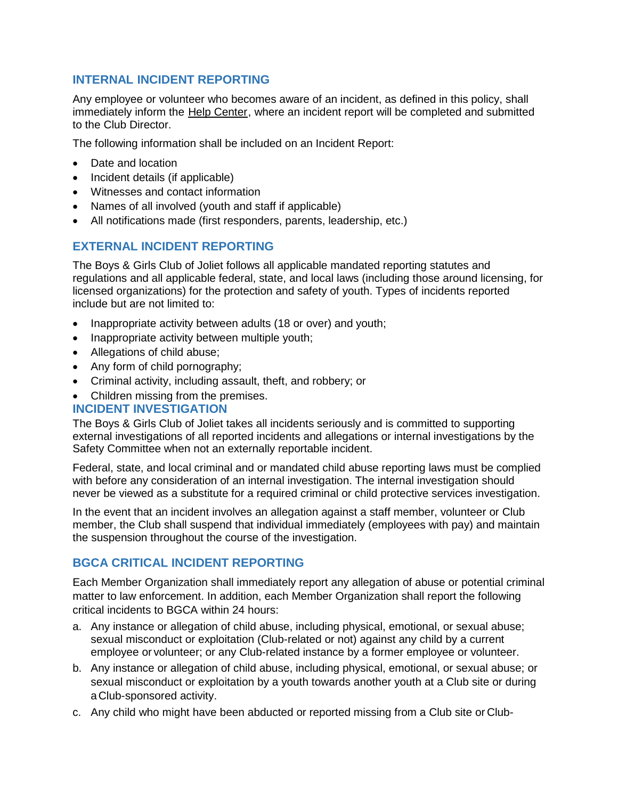# **INTERNAL INCIDENT REPORTING**

Any employee or volunteer who becomes aware of an incident, as defined in this policy, shall immediately inform the Help Center, where an incident report will be completed and submitted to the Club Director.

The following information shall be included on an Incident Report:

- Date and location
- Incident details (if applicable)
- Witnesses and contact information
- Names of all involved (youth and staff if applicable)
- All notifications made (first responders, parents, leadership, etc.)

## **EXTERNAL INCIDENT REPORTING**

The Boys & Girls Club of Joliet follows all applicable mandated reporting statutes and regulations and all applicable federal, state, and local laws (including those around licensing, for licensed organizations) for the protection and safety of youth. Types of incidents reported include but are not limited to:

- Inappropriate activity between adults (18 or over) and youth;
- Inappropriate activity between multiple youth;
- Allegations of child abuse;
- Any form of child pornography;
- Criminal activity, including assault, theft, and robbery; or
- Children missing from the premises.

## **INCIDENT INVESTIGATION**

The Boys & Girls Club of Joliet takes all incidents seriously and is committed to supporting external investigations of all reported incidents and allegations or internal investigations by the Safety Committee when not an externally reportable incident.

Federal, state, and local criminal and or mandated child abuse reporting laws must be complied with before any consideration of an internal investigation. The internal investigation should never be viewed as a substitute for a required criminal or child protective services investigation.

In the event that an incident involves an allegation against a staff member, volunteer or Club member, the Club shall suspend that individual immediately (employees with pay) and maintain the suspension throughout the course of the investigation.

## **BGCA CRITICAL INCIDENT REPORTING**

Each Member Organization shall immediately report any allegation of abuse or potential criminal matter to law enforcement. In addition, each Member Organization shall report the following critical incidents to BGCA within 24 hours:

- a. Any instance or allegation of child abuse, including physical, emotional, or sexual abuse; sexual misconduct or exploitation (Club-related or not) against any child by a current employee or volunteer; or any Club-related instance by a former employee or volunteer.
- b. Any instance or allegation of child abuse, including physical, emotional, or sexual abuse; or sexual misconduct or exploitation by a youth towards another youth at a Club site or during aClub-sponsored activity.
- c. Any child who might have been abducted or reported missing from a Club site or Club-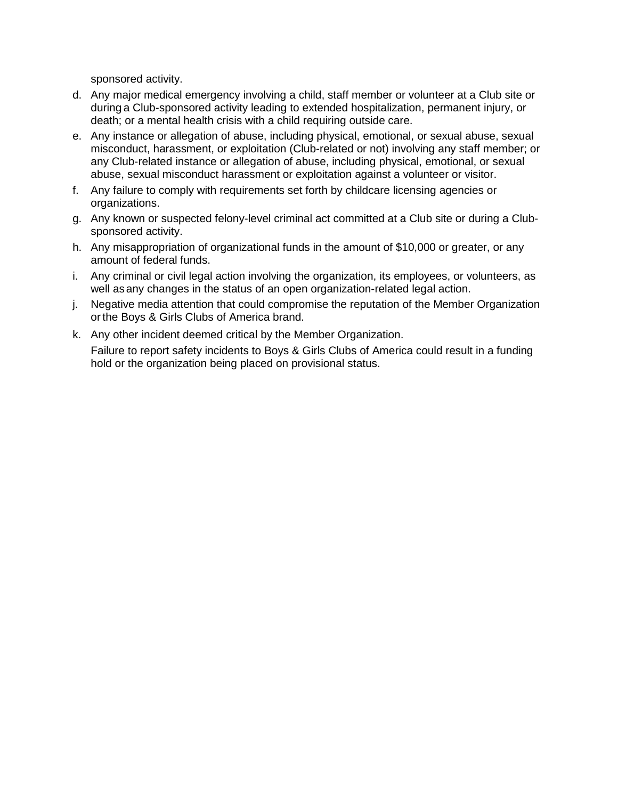sponsored activity.

- d. Any major medical emergency involving a child, staff member or volunteer at a Club site or during a Club-sponsored activity leading to extended hospitalization, permanent injury, or death; or a mental health crisis with a child requiring outside care.
- e. Any instance or allegation of abuse, including physical, emotional, or sexual abuse, sexual misconduct, harassment, or exploitation (Club-related or not) involving any staff member; or any Club-related instance or allegation of abuse, including physical, emotional, or sexual abuse, sexual misconduct harassment or exploitation against a volunteer or visitor.
- f. Any failure to comply with requirements set forth by childcare licensing agencies or organizations.
- g. Any known or suspected felony-level criminal act committed at a Club site or during a Clubsponsored activity.
- h. Any misappropriation of organizational funds in the amount of \$10,000 or greater, or any amount of federal funds.
- i. Any criminal or civil legal action involving the organization, its employees, or volunteers, as well asany changes in the status of an open organization-related legal action.
- j. Negative media attention that could compromise the reputation of the Member Organization or the Boys & Girls Clubs of America brand.
- k. Any other incident deemed critical by the Member Organization.

Failure to report safety incidents to Boys & Girls Clubs of America could result in a funding hold or the organization being placed on provisional status.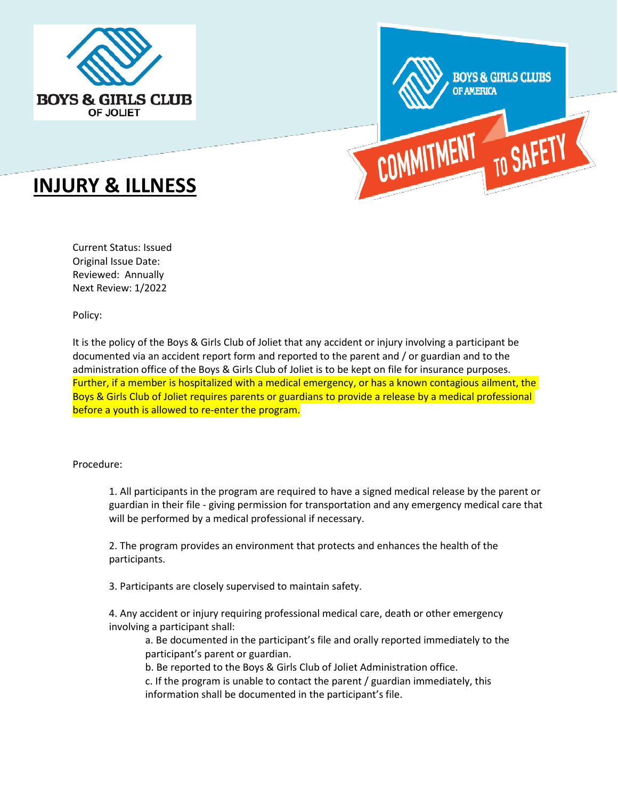



# **INJURY & ILLNESS**

Current Status: Issued Original Issue Date: Reviewed: Annually Next Review: 1/2022

Policy:

It is the policy of the Boys & Girls Club of Joliet that any accident or injury involving a participant be documented via an accident report form and reported to the parent and / or guardian and to the administration office of the Boys & Girls Club of Joliet is to be kept on file for insurance purposes. Further, if a member is hospitalized with a medical emergency, or has a known contagious ailment, the Boys & Girls Club of Joliet requires parents or guardians to provide a release by a medical professional before a youth is allowed to re-enter the program.

#### Procedure:

1. All participants in the program are required to have a signed medical release by the parent or guardian in their file - giving permission for transportation and any emergency medical care that will be performed by a medical professional if necessary.

2. The program provides an environment that protects and enhances the health of the participants.

3. Participants are closely supervised to maintain safety.

4. Any accident or injury requiring professional medical care, death or other emergency involving a participant shall:

a. Be documented in the participant's file and orally reported immediately to the participant's parent or guardian.

b. Be reported to the Boys & Girls Club of Joliet Administration office.

c. If the program is unable to contact the parent / guardian immediately, this information shall be documented in the participant's file.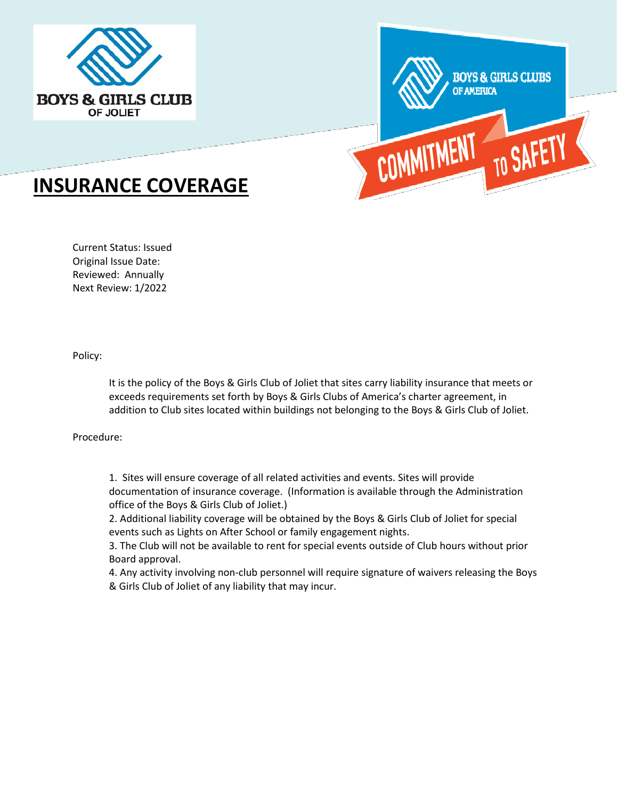



# **INSURANCE COVERAGE**

Current Status: Issued Original Issue Date: Reviewed: Annually Next Review: 1/2022

Policy:

It is the policy of the Boys & Girls Club of Joliet that sites carry liability insurance that meets or exceeds requirements set forth by Boys & Girls Clubs of America's charter agreement, in addition to Club sites located within buildings not belonging to the Boys & Girls Club of Joliet.

Procedure:

1. Sites will ensure coverage of all related activities and events. Sites will provide documentation of insurance coverage. (Information is available through the Administration office of the Boys & Girls Club of Joliet.)

2. Additional liability coverage will be obtained by the Boys & Girls Club of Joliet for special events such as Lights on After School or family engagement nights.

3. The Club will not be available to rent for special events outside of Club hours without prior Board approval.

4. Any activity involving non-club personnel will require signature of waivers releasing the Boys & Girls Club of Joliet of any liability that may incur.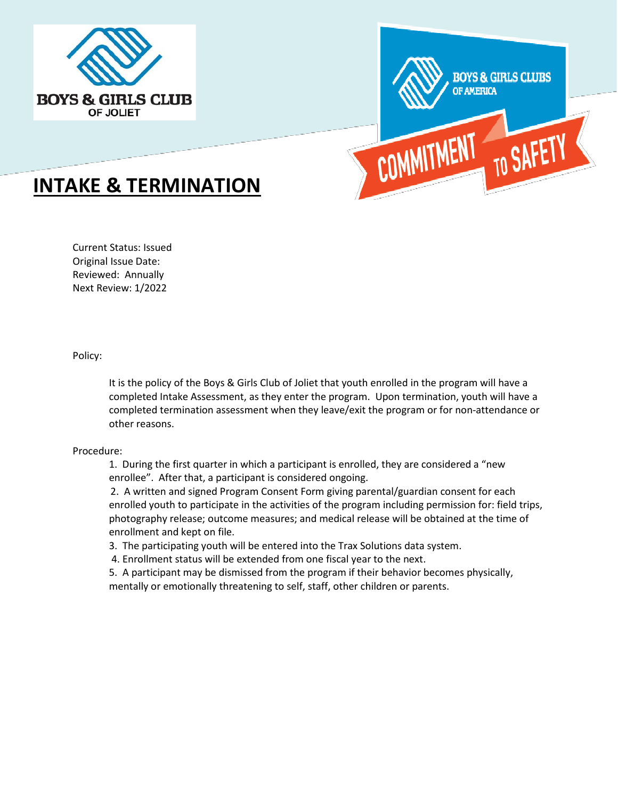



# **INTAKE & TERMINATION**

Current Status: Issued Original Issue Date: Reviewed: Annually Next Review: 1/2022

Policy:

It is the policy of the Boys & Girls Club of Joliet that youth enrolled in the program will have a completed Intake Assessment, as they enter the program. Upon termination, youth will have a completed termination assessment when they leave/exit the program or for non-attendance or other reasons.

#### Procedure:

1. During the first quarter in which a participant is enrolled, they are considered a "new enrollee". After that, a participant is considered ongoing.

2. A written and signed Program Consent Form giving parental/guardian consent for each enrolled youth to participate in the activities of the program including permission for: field trips, photography release; outcome measures; and medical release will be obtained at the time of enrollment and kept on file.

3. The participating youth will be entered into the Trax Solutions data system.

4. Enrollment status will be extended from one fiscal year to the next.

5. A participant may be dismissed from the program if their behavior becomes physically, mentally or emotionally threatening to self, staff, other children or parents.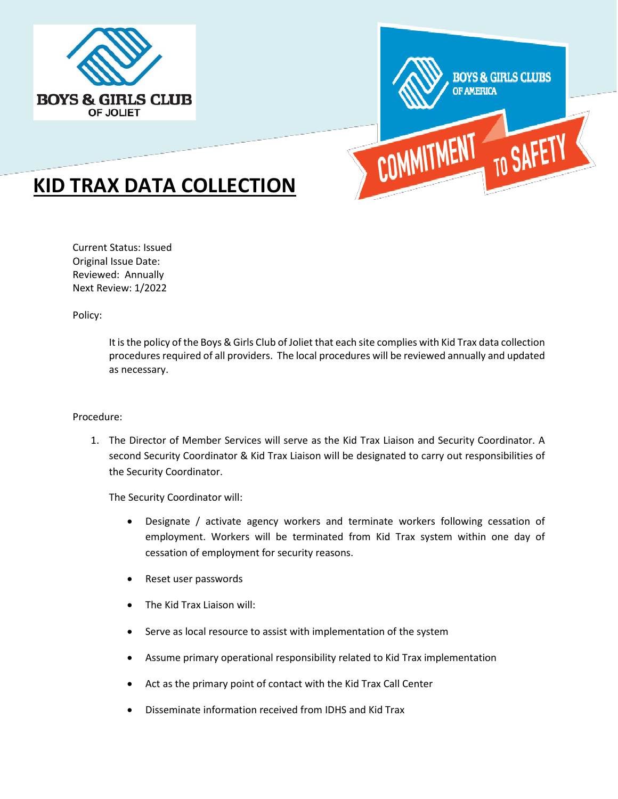



# **KID TRAX DATA COLLECTION**

Current Status: Issued Original Issue Date: Reviewed: Annually Next Review: 1/2022

Policy:

It is the policy of the Boys & Girls Club of Joliet that each site complies with Kid Trax data collection procedures required of all providers. The local procedures will be reviewed annually and updated as necessary.

#### Procedure:

1. The Director of Member Services will serve as the Kid Trax Liaison and Security Coordinator. A second Security Coordinator & Kid Trax Liaison will be designated to carry out responsibilities of the Security Coordinator.

The Security Coordinator will:

- Designate / activate agency workers and terminate workers following cessation of employment. Workers will be terminated from Kid Trax system within one day of cessation of employment for security reasons.
- Reset user passwords
- The Kid Trax Liaison will:
- Serve as local resource to assist with implementation of the system
- Assume primary operational responsibility related to Kid Trax implementation
- Act as the primary point of contact with the Kid Trax Call Center
- Disseminate information received from IDHS and Kid Trax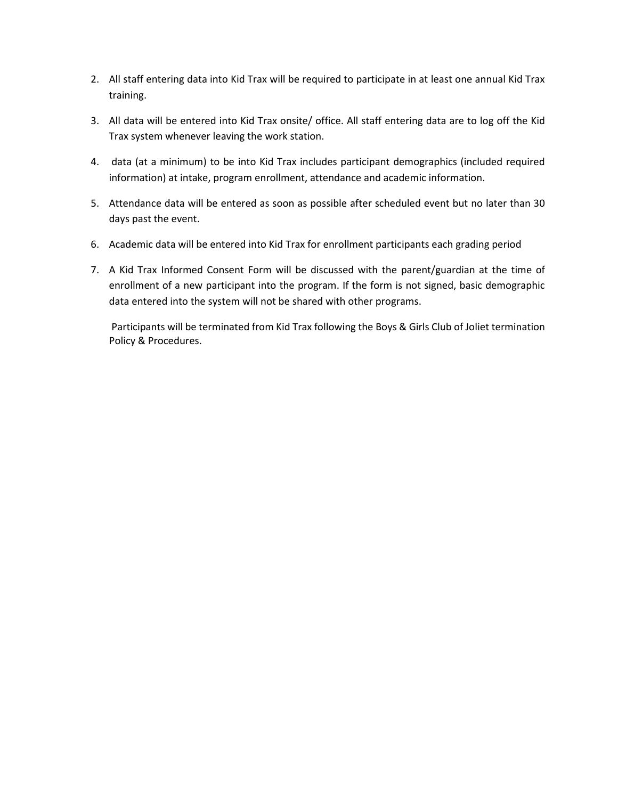- 2. All staff entering data into Kid Trax will be required to participate in at least one annual Kid Trax training.
- 3. All data will be entered into Kid Trax onsite/ office. All staff entering data are to log off the Kid Trax system whenever leaving the work station.
- 4. data (at a minimum) to be into Kid Trax includes participant demographics (included required information) at intake, program enrollment, attendance and academic information.
- 5. Attendance data will be entered as soon as possible after scheduled event but no later than 30 days past the event.
- 6. Academic data will be entered into Kid Trax for enrollment participants each grading period
- 7. A Kid Trax Informed Consent Form will be discussed with the parent/guardian at the time of enrollment of a new participant into the program. If the form is not signed, basic demographic data entered into the system will not be shared with other programs.

Participants will be terminated from Kid Trax following the Boys & Girls Club of Joliet termination Policy & Procedures.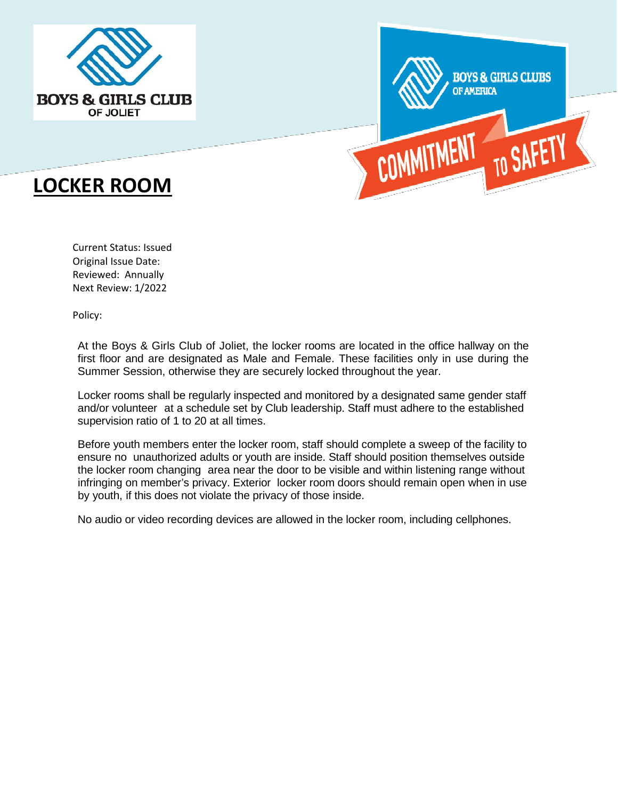





Current Status: Issued Original Issue Date: Reviewed: Annually Next Review: 1/2022

Policy:

At the Boys & Girls Club of Joliet, the locker rooms are located in the office hallway on the first floor and are designated as Male and Female. These facilities only in use during the Summer Session, otherwise they are securely locked throughout the year.

Locker rooms shall be regularly inspected and monitored by a designated same gender staff and/or volunteer at a schedule set by Club leadership. Staff must adhere to the established supervision ratio of 1 to 20 at all times.

Before youth members enter the locker room, staff should complete a sweep of the facility to ensure no unauthorized adults or youth are inside. Staff should position themselves outside the locker room changing area near the door to be visible and within listening range without infringing on member's privacy. Exterior locker room doors should remain open when in use by youth, if this does not violate the privacy of those inside.

No audio or video recording devices are allowed in the locker room, including cellphones.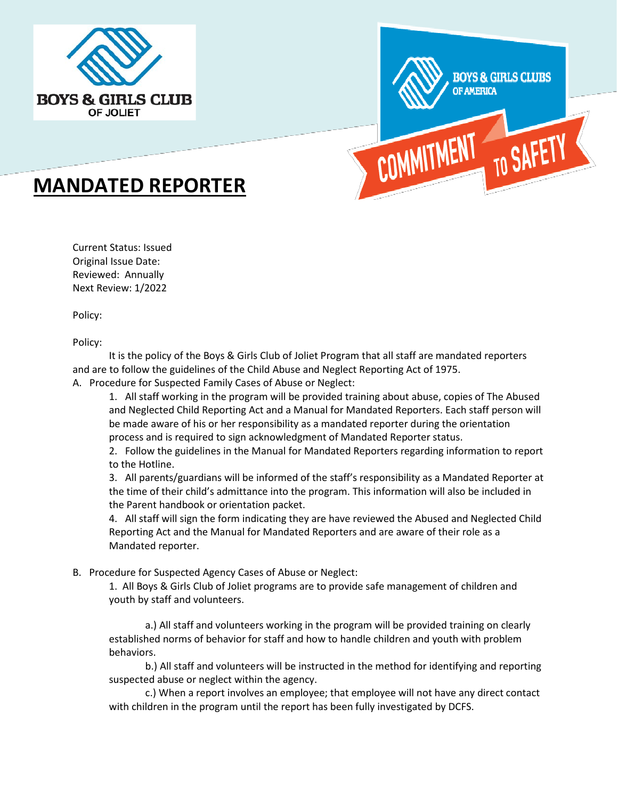



# **MANDATED REPORTER**

Current Status: Issued Original Issue Date: Reviewed: Annually Next Review: 1/2022

Policy:

Policy:

It is the policy of the Boys & Girls Club of Joliet Program that all staff are mandated reporters and are to follow the guidelines of the Child Abuse and Neglect Reporting Act of 1975.

A. Procedure for Suspected Family Cases of Abuse or Neglect:

1. All staff working in the program will be provided training about abuse, copies of The Abused and Neglected Child Reporting Act and a Manual for Mandated Reporters. Each staff person will be made aware of his or her responsibility as a mandated reporter during the orientation process and is required to sign acknowledgment of Mandated Reporter status.

2. Follow the guidelines in the Manual for Mandated Reporters regarding information to report to the Hotline.

3. All parents/guardians will be informed of the staff's responsibility as a Mandated Reporter at the time of their child's admittance into the program. This information will also be included in the Parent handbook or orientation packet.

4. All staff will sign the form indicating they are have reviewed the Abused and Neglected Child Reporting Act and the Manual for Mandated Reporters and are aware of their role as a Mandated reporter.

#### B. Procedure for Suspected Agency Cases of Abuse or Neglect:

1. All Boys & Girls Club of Joliet programs are to provide safe management of children and youth by staff and volunteers.

a.) All staff and volunteers working in the program will be provided training on clearly established norms of behavior for staff and how to handle children and youth with problem behaviors.

b.) All staff and volunteers will be instructed in the method for identifying and reporting suspected abuse or neglect within the agency.

c.) When a report involves an employee; that employee will not have any direct contact with children in the program until the report has been fully investigated by DCFS.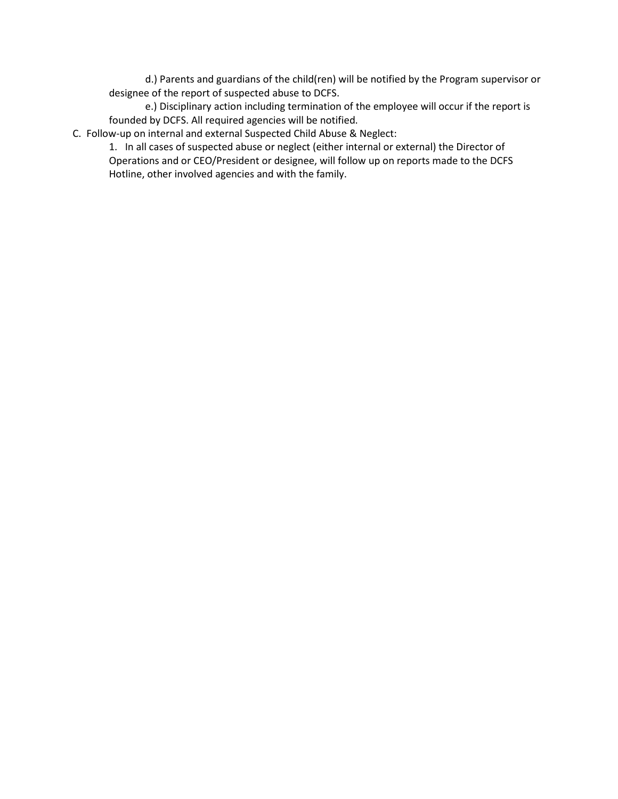d.) Parents and guardians of the child(ren) will be notified by the Program supervisor or designee of the report of suspected abuse to DCFS.

e.) Disciplinary action including termination of the employee will occur if the report is founded by DCFS. All required agencies will be notified.

C. Follow-up on internal and external Suspected Child Abuse & Neglect:

1. In all cases of suspected abuse or neglect (either internal or external) the Director of Operations and or CEO/President or designee, will follow up on reports made to the DCFS Hotline, other involved agencies and with the family.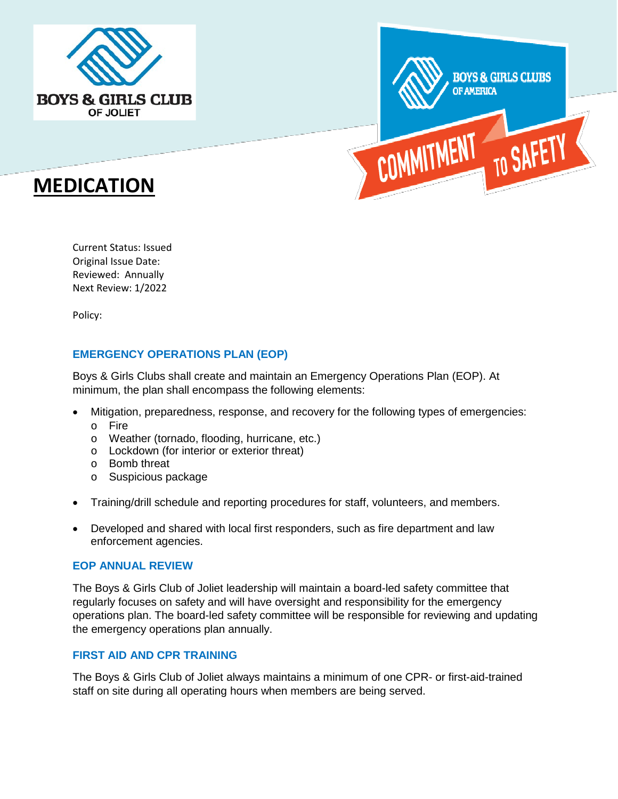





Current Status: Issued Original Issue Date: Reviewed: Annually Next Review: 1/2022

Policy:

## **EMERGENCY OPERATIONS PLAN (EOP)**

Boys & Girls Clubs shall create and maintain an Emergency Operations Plan (EOP). At minimum, the plan shall encompass the following elements:

- Mitigation, preparedness, response, and recovery for the following types of emergencies:
	- o Fire
	- o Weather (tornado, flooding, hurricane, etc.)
	- o Lockdown (for interior or exterior threat)
	- o Bomb threat
	- o Suspicious package
- Training/drill schedule and reporting procedures for staff, volunteers, and members.
- Developed and shared with local first responders, such as fire department and law enforcement agencies.

#### **EOP ANNUAL REVIEW**

The Boys & Girls Club of Joliet leadership will maintain a board-led safety committee that regularly focuses on safety and will have oversight and responsibility for the emergency operations plan. The board-led safety committee will be responsible for reviewing and updating the emergency operations plan annually.

#### **FIRST AID AND CPR TRAINING**

The Boys & Girls Club of Joliet always maintains a minimum of one CPR- or first-aid-trained staff on site during all operating hours when members are being served.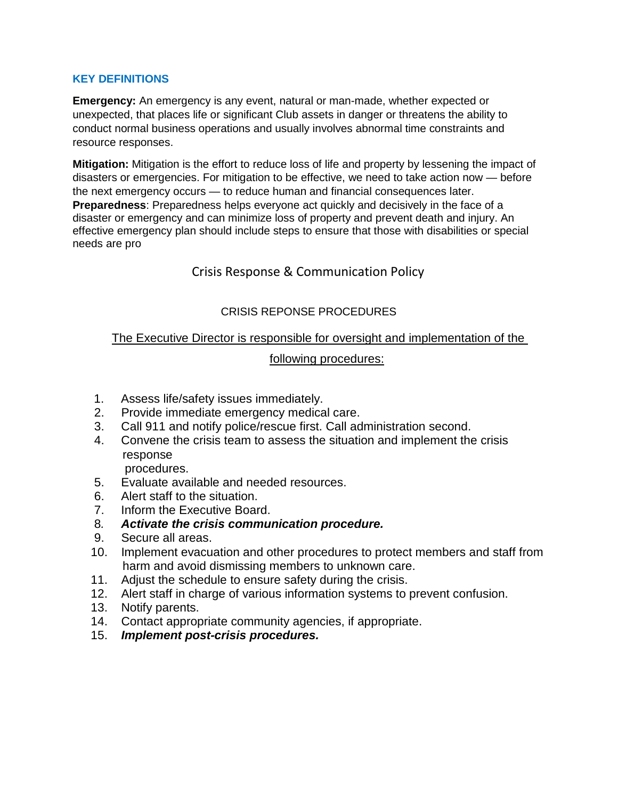## **KEY DEFINITIONS**

**Emergency:** An emergency is any event, natural or man-made, whether expected or unexpected, that places life or significant Club assets in danger or threatens the ability to conduct normal business operations and usually involves abnormal time constraints and resource responses.

**Mitigation:** Mitigation is the effort to reduce loss of life and property by lessening the impact of disasters or emergencies. For mitigation to be effective, we need to take action now — before the next emergency occurs — to reduce human and financial consequences later. **Preparedness**: Preparedness helps everyone act quickly and decisively in the face of a disaster or emergency and can minimize loss of property and prevent death and injury. An effective emergency plan should include steps to ensure that those with disabilities or special needs are pro

# Crisis Response & Communication Policy

# CRISIS REPONSE PROCEDURES

## The Executive Director is responsible for oversight and implementation of the

#### following procedures:

- 1. Assess life/safety issues immediately.
- 2. Provide immediate emergency medical care.
- 3. Call 911 and notify police/rescue first. Call administration second.
- 4. Convene the crisis team to assess the situation and implement the crisis response

procedures.

- 5. Evaluate available and needed resources.
- 6. Alert staff to the situation.
- 7. Inform the Executive Board.
- 8*. Activate the crisis communication procedure.*
- 9. Secure all areas.
- 10. Implement evacuation and other procedures to protect members and staff from harm and avoid dismissing members to unknown care.
- 11. Adjust the schedule to ensure safety during the crisis.
- 12. Alert staff in charge of various information systems to prevent confusion.
- 13. Notify parents.
- 14. Contact appropriate community agencies, if appropriate.
- 15. *Implement post-crisis procedures.*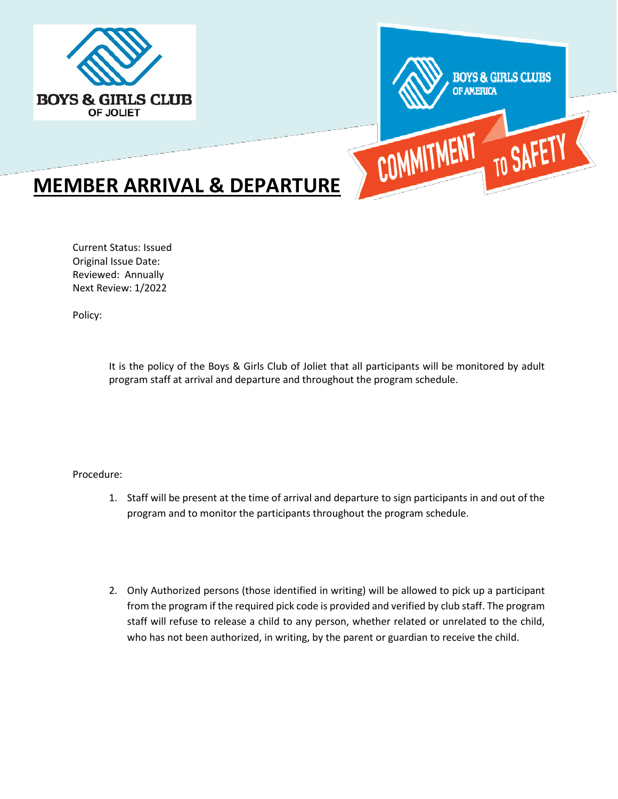



# **MEMBER ARRIVAL & DEPARTURE**

Current Status: Issued Original Issue Date: Reviewed: Annually Next Review: 1/2022

Policy:

It is the policy of the Boys & Girls Club of Joliet that all participants will be monitored by adult program staff at arrival and departure and throughout the program schedule.

Procedure:

- 1. Staff will be present at the time of arrival and departure to sign participants in and out of the program and to monitor the participants throughout the program schedule.
- 2. Only Authorized persons (those identified in writing) will be allowed to pick up a participant from the program if the required pick code is provided and verified by club staff. The program staff will refuse to release a child to any person, whether related or unrelated to the child, who has not been authorized, in writing, by the parent or guardian to receive the child.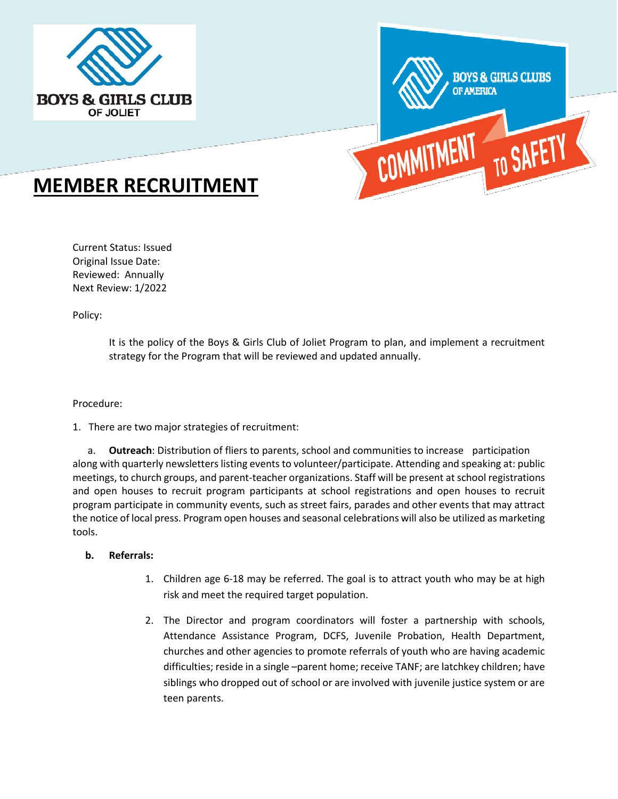



# **MEMBER RECRUITMENT**

Current Status: Issued Original Issue Date: Reviewed: Annually Next Review: 1/2022

Policy:

It is the policy of the Boys & Girls Club of Joliet Program to plan, and implement a recruitment strategy for the Program that will be reviewed and updated annually.

#### Procedure:

1. There are two major strategies of recruitment:

 a. **Outreach**: Distribution of fliers to parents, school and communities to increase participation along with quarterly newsletters listing events to volunteer/participate. Attending and speaking at: public meetings, to church groups, and parent-teacher organizations. Staff will be present at school registrations and open houses to recruit program participants at school registrations and open houses to recruit program participate in community events, such as street fairs, parades and other events that may attract the notice of local press. Program open houses and seasonal celebrations will also be utilized as marketing tools.

#### **b. Referrals:**

- 1. Children age 6-18 may be referred. The goal is to attract youth who may be at high risk and meet the required target population.
- 2. The Director and program coordinators will foster a partnership with schools, Attendance Assistance Program, DCFS, Juvenile Probation, Health Department, churches and other agencies to promote referrals of youth who are having academic difficulties; reside in a single –parent home; receive TANF; are latchkey children; have siblings who dropped out of school or are involved with juvenile justice system or are teen parents.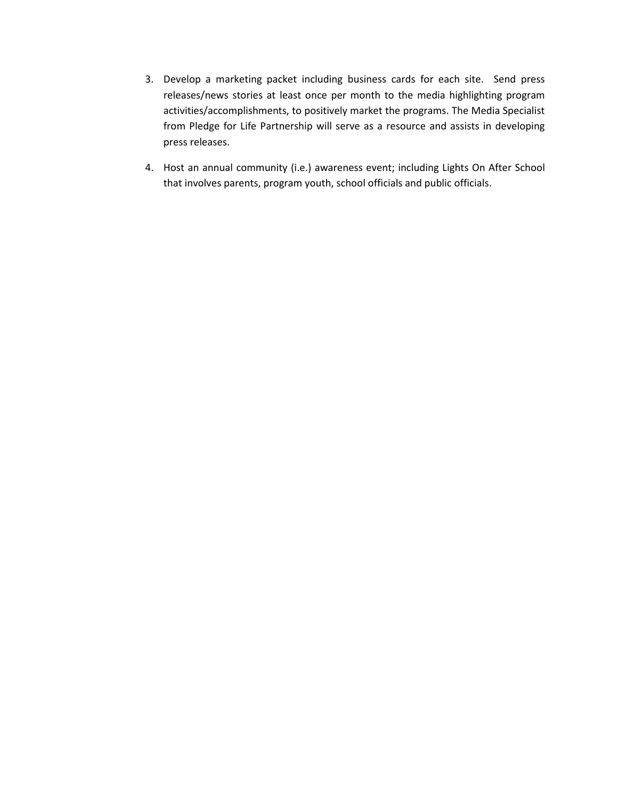- 3. Develop a marketing packet including business cards for each site. Send press releases/news stories at least once per month to the media highlighting program activities/accomplishments, to positively market the programs. The Media Specialist from Pledge for Life Partnership will serve as a resource and assists in developing press releases.
- 4. Host an annual community (i.e.) awareness event; including Lights On After School that involves parents, program youth, school officials and public officials.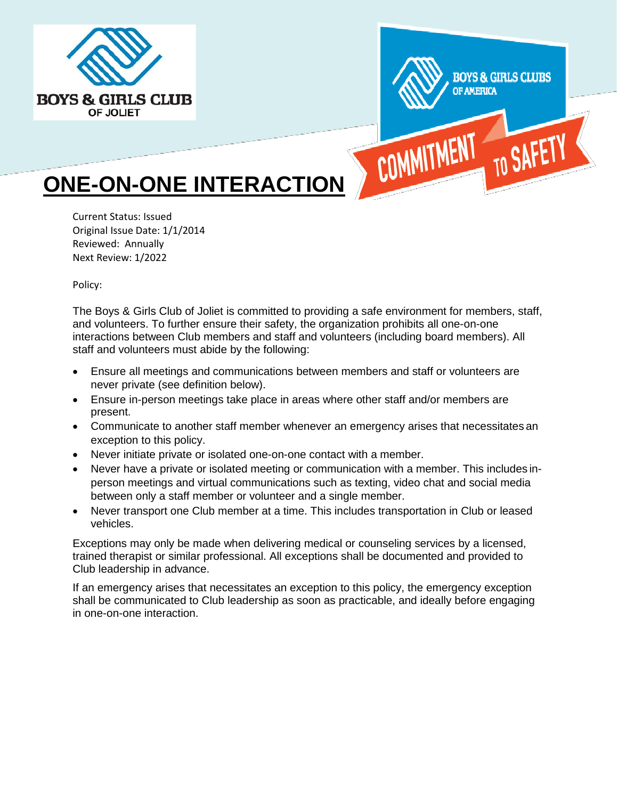



# **ONE-ON-ONE INTERACTION**

Current Status: Issued Original Issue Date: 1/1/2014 Reviewed: Annually Next Review: 1/2022

Policy:

The Boys & Girls Club of Joliet is committed to providing a safe environment for members, staff, and volunteers. To further ensure their safety, the organization prohibits all one-on-one interactions between Club members and staff and volunteers (including board members). All staff and volunteers must abide by the following:

- Ensure all meetings and communications between members and staff or volunteers are never private (see definition below).
- Ensure in-person meetings take place in areas where other staff and/or members are present.
- Communicate to another staff member whenever an emergency arises that necessitates an exception to this policy.
- Never initiate private or isolated one-on-one contact with a member.
- Never have a private or isolated meeting or communication with a member. This includes inperson meetings and virtual communications such as texting, video chat and social media between only a staff member or volunteer and a single member.
- Never transport one Club member at a time. This includes transportation in Club or leased vehicles.

Exceptions may only be made when delivering medical or counseling services by a licensed, trained therapist or similar professional. All exceptions shall be documented and provided to Club leadership in advance.

If an emergency arises that necessitates an exception to this policy, the emergency exception shall be communicated to Club leadership as soon as practicable, and ideally before engaging in one-on-one interaction.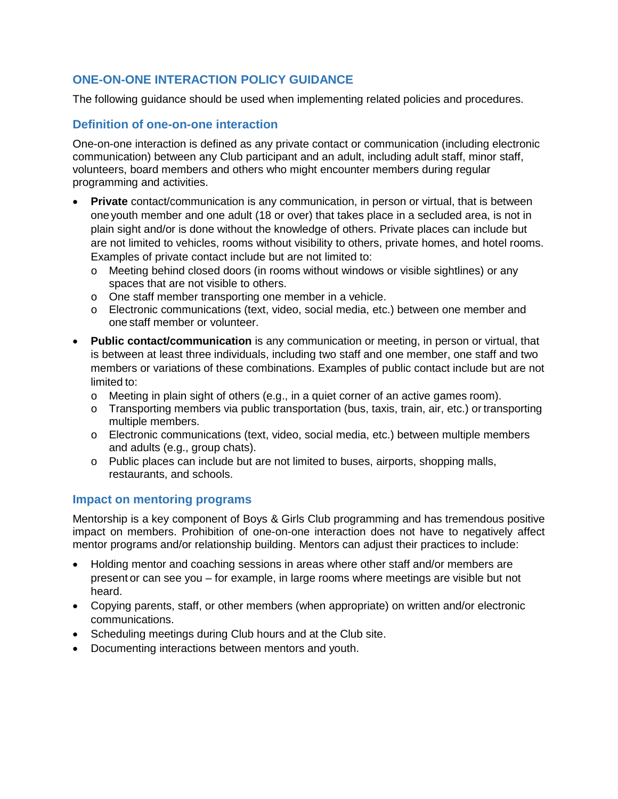# **ONE-ON-ONE INTERACTION POLICY GUIDANCE**

The following guidance should be used when implementing related policies and procedures.

# **Definition of one-on-one interaction**

One-on-one interaction is defined as any private contact or communication (including electronic communication) between any Club participant and an adult, including adult staff, minor staff, volunteers, board members and others who might encounter members during regular programming and activities.

- **Private** contact/communication is any communication, in person or virtual, that is between one youth member and one adult (18 or over) that takes place in a secluded area, is not in plain sight and/or is done without the knowledge of others. Private places can include but are not limited to vehicles, rooms without visibility to others, private homes, and hotel rooms. Examples of private contact include but are not limited to:
	- o Meeting behind closed doors (in rooms without windows or visible sightlines) or any spaces that are not visible to others.
	- o One staff member transporting one member in a vehicle.
	- o Electronic communications (text, video, social media, etc.) between one member and one staff member or volunteer.
- **Public contact/communication** is any communication or meeting, in person or virtual, that is between at least three individuals, including two staff and one member, one staff and two members or variations of these combinations. Examples of public contact include but are not limited to:
	- $\circ$  Meeting in plain sight of others (e.g., in a quiet corner of an active games room).
	- o Transporting members via public transportation (bus, taxis, train, air, etc.) or transporting multiple members.
	- o Electronic communications (text, video, social media, etc.) between multiple members and adults (e.g., group chats).
	- o Public places can include but are not limited to buses, airports, shopping malls, restaurants, and schools.

## **Impact on mentoring programs**

Mentorship is a key component of Boys & Girls Club programming and has tremendous positive impact on members. Prohibition of one-on-one interaction does not have to negatively affect mentor programs and/or relationship building. Mentors can adjust their practices to include:

- Holding mentor and coaching sessions in areas where other staff and/or members are present or can see you – for example, in large rooms where meetings are visible but not heard.
- Copying parents, staff, or other members (when appropriate) on written and/or electronic communications.
- Scheduling meetings during Club hours and at the Club site.
- Documenting interactions between mentors and youth.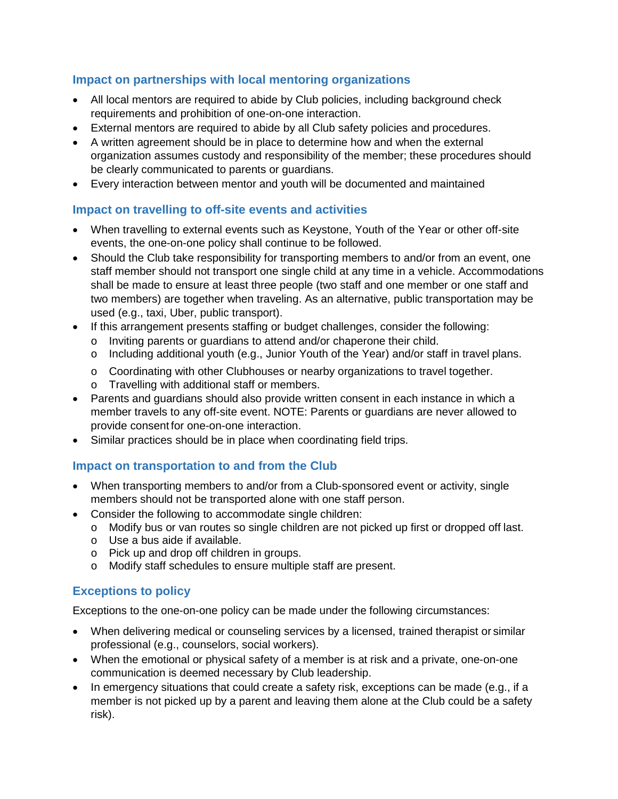# **Impact on partnerships with local mentoring organizations**

- All local mentors are required to abide by Club policies, including background check requirements and prohibition of one-on-one interaction.
- External mentors are required to abide by all Club safety policies and procedures.
- A written agreement should be in place to determine how and when the external organization assumes custody and responsibility of the member; these procedures should be clearly communicated to parents or guardians.
- Every interaction between mentor and youth will be documented and maintained

# **Impact on travelling to off-site events and activities**

- When travelling to external events such as Keystone, Youth of the Year or other off-site events, the one-on-one policy shall continue to be followed.
- Should the Club take responsibility for transporting members to and/or from an event, one staff member should not transport one single child at any time in a vehicle. Accommodations shall be made to ensure at least three people (two staff and one member or one staff and two members) are together when traveling. As an alternative, public transportation may be used (e.g., taxi, Uber, public transport).
- If this arrangement presents staffing or budget challenges, consider the following:
	- o Inviting parents or guardians to attend and/or chaperone their child.
	- o Including additional youth (e.g., Junior Youth of the Year) and/or staff in travel plans.
	- o Coordinating with other Clubhouses or nearby organizations to travel together. o Travelling with additional staff or members.
- Parents and guardians should also provide written consent in each instance in which a member travels to any off-site event. NOTE: Parents or guardians are never allowed to
- provide consent for one-on-one interaction.
- Similar practices should be in place when coordinating field trips.

# **Impact on transportation to and from the Club**

- When transporting members to and/or from a Club-sponsored event or activity, single members should not be transported alone with one staff person.
- Consider the following to accommodate single children:
	- o Modify bus or van routes so single children are not picked up first or dropped off last.
	- o Use a bus aide if available.
	- o Pick up and drop off children in groups.
	- o Modify staff schedules to ensure multiple staff are present.

# **Exceptions to policy**

Exceptions to the one-on-one policy can be made under the following circumstances:

- When delivering medical or counseling services by a licensed, trained therapist or similar professional (e.g., counselors, social workers).
- When the emotional or physical safety of a member is at risk and a private, one-on-one communication is deemed necessary by Club leadership.
- In emergency situations that could create a safety risk, exceptions can be made (e.g., if a member is not picked up by a parent and leaving them alone at the Club could be a safety risk).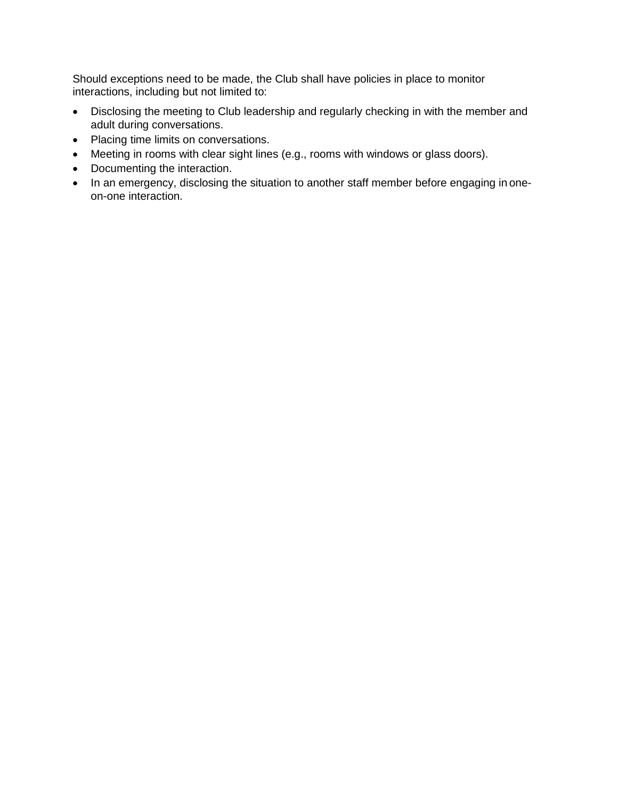Should exceptions need to be made, the Club shall have policies in place to monitor interactions, including but not limited to:

- Disclosing the meeting to Club leadership and regularly checking in with the member and adult during conversations.
- Placing time limits on conversations.
- Meeting in rooms with clear sight lines (e.g., rooms with windows or glass doors).
- Documenting the interaction.
- In an emergency, disclosing the situation to another staff member before engaging in oneon-one interaction.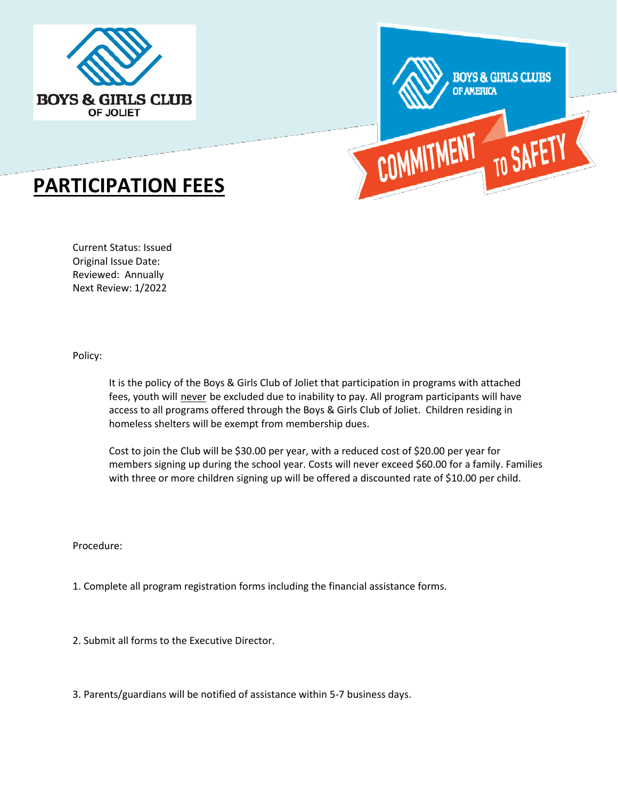



# **PARTICIPATION FEES**

Current Status: Issued Original Issue Date: Reviewed: Annually Next Review: 1/2022

Policy:

It is the policy of the Boys & Girls Club of Joliet that participation in programs with attached fees, youth will never be excluded due to inability to pay. All program participants will have access to all programs offered through the Boys & Girls Club of Joliet. Children residing in homeless shelters will be exempt from membership dues.

Cost to join the Club will be \$30.00 per year, with a reduced cost of \$20.00 per year for members signing up during the school year. Costs will never exceed \$60.00 for a family. Families with three or more children signing up will be offered a discounted rate of \$10.00 per child.

Procedure:

- 1. Complete all program registration forms including the financial assistance forms.
- 2. Submit all forms to the Executive Director.
- 3. Parents/guardians will be notified of assistance within 5-7 business days.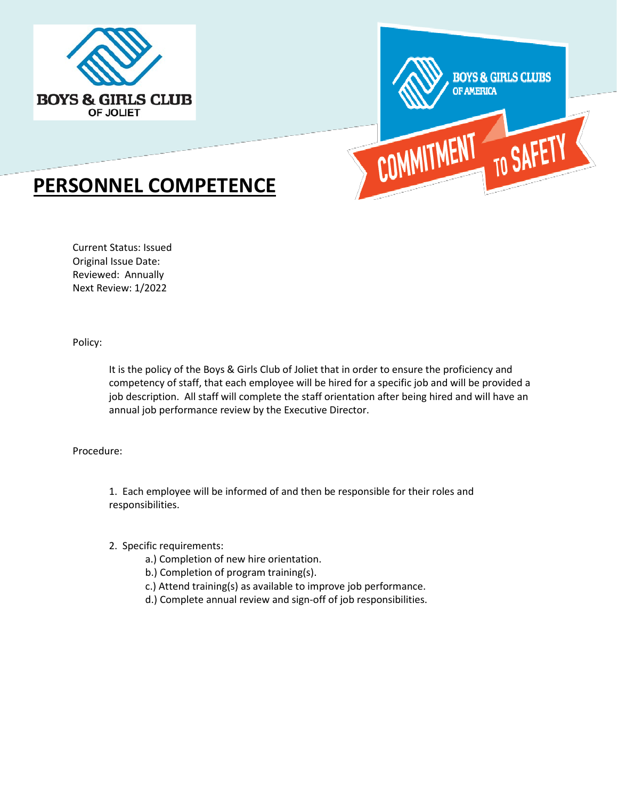



# **PERSONNEL COMPETENCE**

Current Status: Issued Original Issue Date: Reviewed: Annually Next Review: 1/2022

Policy:

It is the policy of the Boys & Girls Club of Joliet that in order to ensure the proficiency and competency of staff, that each employee will be hired for a specific job and will be provided a job description. All staff will complete the staff orientation after being hired and will have an annual job performance review by the Executive Director.

#### Procedure:

1. Each employee will be informed of and then be responsible for their roles and responsibilities.

#### 2. Specific requirements:

- a.) Completion of new hire orientation.
- b.) Completion of program training(s).
- c.) Attend training(s) as available to improve job performance.
- d.) Complete annual review and sign-off of job responsibilities.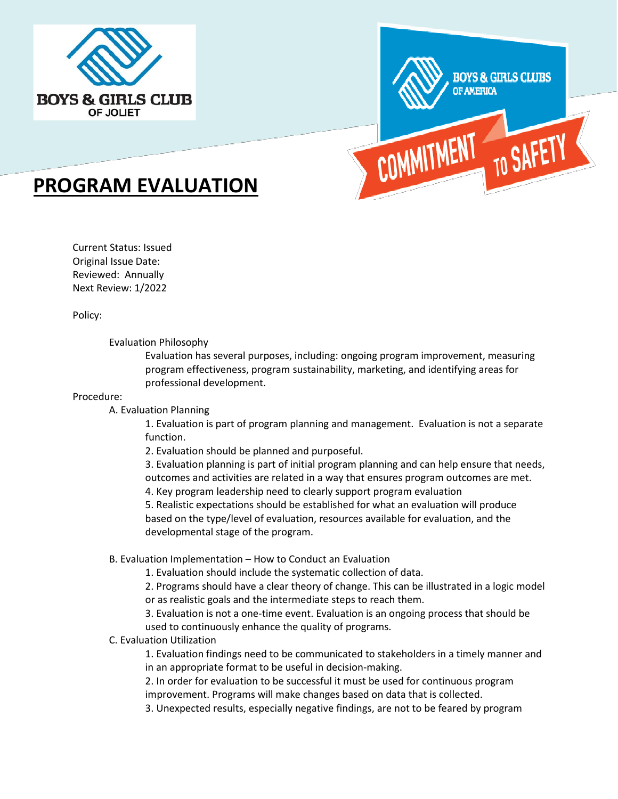



# **PROGRAM EVALUATION**

Current Status: Issued Original Issue Date: Reviewed: Annually Next Review: 1/2022

Policy:

Evaluation Philosophy

Evaluation has several purposes, including: ongoing program improvement, measuring program effectiveness, program sustainability, marketing, and identifying areas for professional development.

#### Procedure:

A. Evaluation Planning

1. Evaluation is part of program planning and management. Evaluation is not a separate function.

2. Evaluation should be planned and purposeful.

3. Evaluation planning is part of initial program planning and can help ensure that needs, outcomes and activities are related in a way that ensures program outcomes are met.

4. Key program leadership need to clearly support program evaluation

5. Realistic expectations should be established for what an evaluation will produce based on the type/level of evaluation, resources available for evaluation, and the developmental stage of the program.

B. Evaluation Implementation – How to Conduct an Evaluation

1. Evaluation should include the systematic collection of data.

2. Programs should have a clear theory of change. This can be illustrated in a logic model or as realistic goals and the intermediate steps to reach them.

3. Evaluation is not a one-time event. Evaluation is an ongoing process that should be used to continuously enhance the quality of programs.

C. Evaluation Utilization

1. Evaluation findings need to be communicated to stakeholders in a timely manner and in an appropriate format to be useful in decision-making.

2. In order for evaluation to be successful it must be used for continuous program improvement. Programs will make changes based on data that is collected.

3. Unexpected results, especially negative findings, are not to be feared by program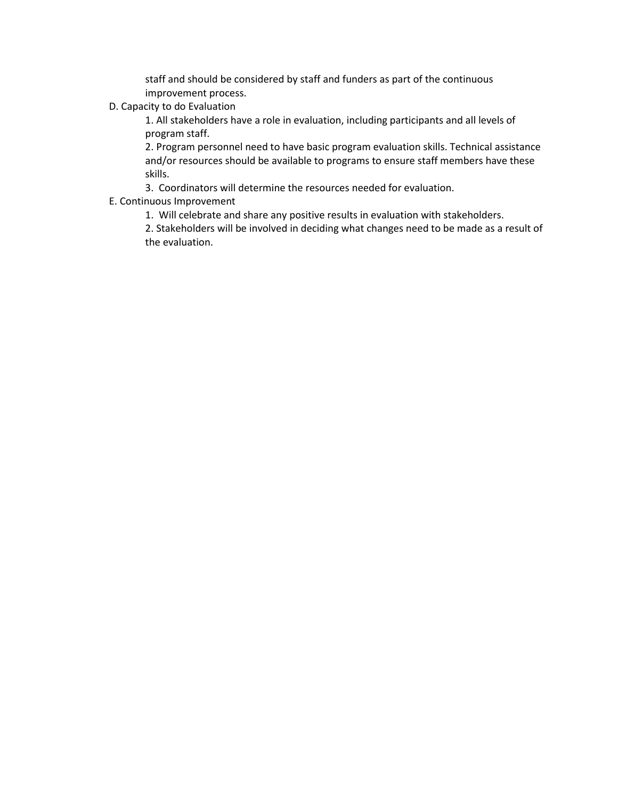staff and should be considered by staff and funders as part of the continuous improvement process.

D. Capacity to do Evaluation

1. All stakeholders have a role in evaluation, including participants and all levels of program staff.

2. Program personnel need to have basic program evaluation skills. Technical assistance and/or resources should be available to programs to ensure staff members have these skills.

3. Coordinators will determine the resources needed for evaluation.

E. Continuous Improvement

1. Will celebrate and share any positive results in evaluation with stakeholders.

2. Stakeholders will be involved in deciding what changes need to be made as a result of the evaluation.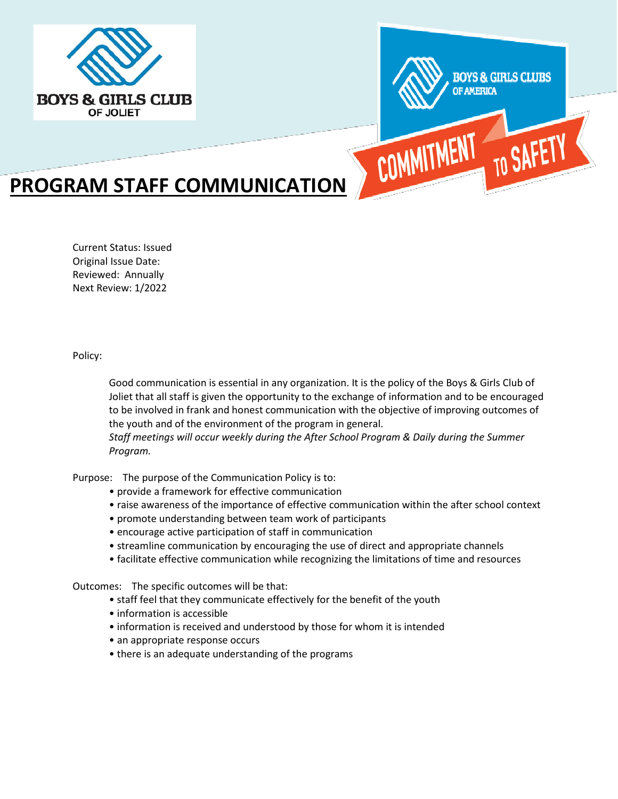



# **PROGRAM STAFF COMMUNICATION**

Current Status: Issued Original Issue Date: Reviewed: Annually Next Review: 1/2022

Policy:

Good communication is essential in any organization. It is the policy of the Boys & Girls Club of Joliet that all staff is given the opportunity to the exchange of information and to be encouraged to be involved in frank and honest communication with the objective of improving outcomes of the youth and of the environment of the program in general.

*Staff meetings will occur weekly during the After School Program & Daily during the Summer Program.*

Purpose: The purpose of the Communication Policy is to:

- provide a framework for effective communication
- raise awareness of the importance of effective communication within the after school context
- promote understanding between team work of participants
- encourage active participation of staff in communication
- streamline communication by encouraging the use of direct and appropriate channels
- facilitate effective communication while recognizing the limitations of time and resources

Outcomes: The specific outcomes will be that:

- staff feel that they communicate effectively for the benefit of the youth
- information is accessible
- information is received and understood by those for whom it is intended
- an appropriate response occurs
- there is an adequate understanding of the programs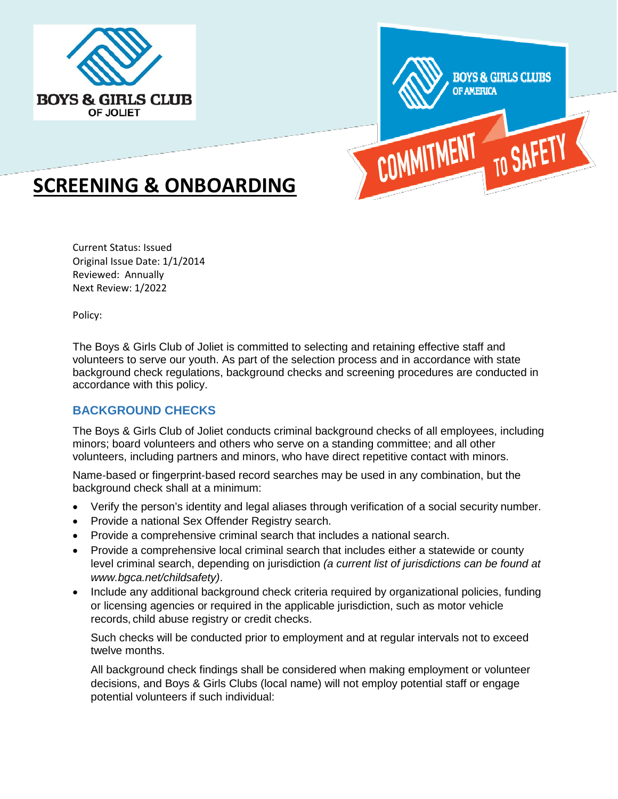



# **SCREENING & ONBOARDING**

Current Status: Issued Original Issue Date: 1/1/2014 Reviewed: Annually Next Review: 1/2022

Policy:

The Boys & Girls Club of Joliet is committed to selecting and retaining effective staff and volunteers to serve our youth. As part of the selection process and in accordance with state background check regulations, background checks and screening procedures are conducted in accordance with this policy.

# **BACKGROUND CHECKS**

The Boys & Girls Club of Joliet conducts criminal background checks of all employees, including minors; board volunteers and others who serve on a standing committee; and all other volunteers, including partners and minors, who have direct repetitive contact with minors.

Name‐based or fingerprint‐based record searches may be used in any combination, but the background check shall at a minimum:

- Verify the person's identity and legal aliases through verification of a social security number.
- Provide a national Sex Offender Registry search.
- Provide a comprehensive criminal search that includes a national search.
- Provide a comprehensive local criminal search that includes either a statewide or county level criminal search, depending on jurisdiction *(a current list of jurisdictions can be found a[t](http://www.bgca.net/childsafety)) [www.bgca.net/childsafety\)](http://www.bgca.net/childsafety))*.
- Include any additional background check criteria required by organizational policies, funding or licensing agencies or required in the applicable jurisdiction, such as motor vehicle records, child abuse registry or credit checks.

Such checks will be conducted prior to employment and at regular intervals not to exceed twelve months.

All background check findings shall be considered when making employment or volunteer decisions, and Boys & Girls Clubs (local name) will not employ potential staff or engage potential volunteers if such individual: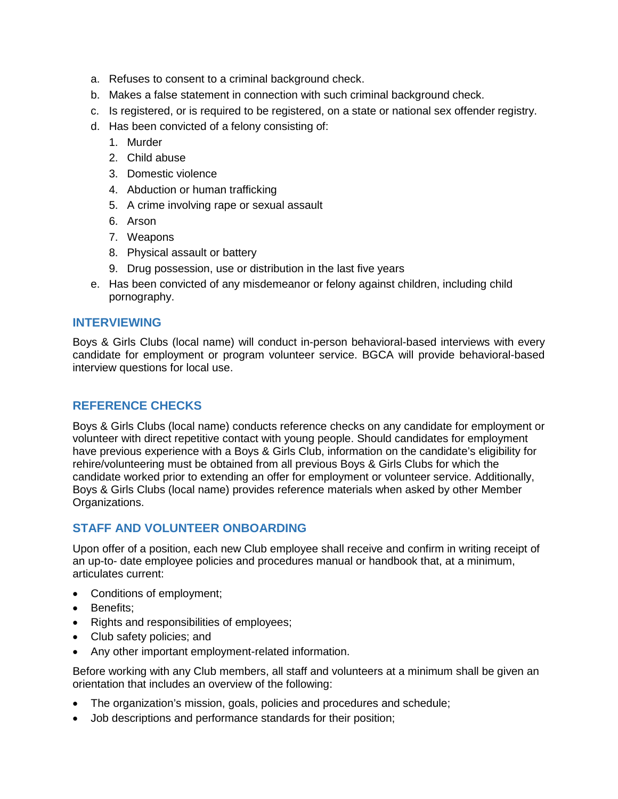- a. Refuses to consent to a criminal background check.
- b. Makes a false statement in connection with such criminal background check.
- c. Is registered, or is required to be registered, on a state or national sex offender registry.
- d. Has been convicted of a felony consisting of:
	- 1. Murder
	- 2. Child abuse
	- 3. Domestic violence
	- 4. Abduction or human trafficking
	- 5. A crime involving rape or sexual assault
	- 6. Arson
	- 7. Weapons
	- 8. Physical assault or battery
	- 9. Drug possession, use or distribution in the last five years
- e. Has been convicted of any misdemeanor or felony against children, including child pornography.

## **INTERVIEWING**

Boys & Girls Clubs (local name) will conduct in-person behavioral-based interviews with every candidate for employment or program volunteer service. BGCA will provide behavioral-based interview questions for local use.

## **REFERENCE CHECKS**

Boys & Girls Clubs (local name) conducts reference checks on any candidate for employment or volunteer with direct repetitive contact with young people. Should candidates for employment have previous experience with a Boys & Girls Club, information on the candidate's eligibility for rehire/volunteering must be obtained from all previous Boys & Girls Clubs for which the candidate worked prior to extending an offer for employment or volunteer service. Additionally, Boys & Girls Clubs (local name) provides reference materials when asked by other Member Organizations.

## **STAFF AND VOLUNTEER ONBOARDING**

Upon offer of a position, each new Club employee shall receive and confirm in writing receipt of an up-to- date employee policies and procedures manual or handbook that, at a minimum, articulates current:

- Conditions of employment;
- Benefits;
- Rights and responsibilities of employees;
- Club safety policies; and
- Any other important employment-related information.

Before working with any Club members, all staff and volunteers at a minimum shall be given an orientation that includes an overview of the following:

- The organization's mission, goals, policies and procedures and schedule;
- Job descriptions and performance standards for their position;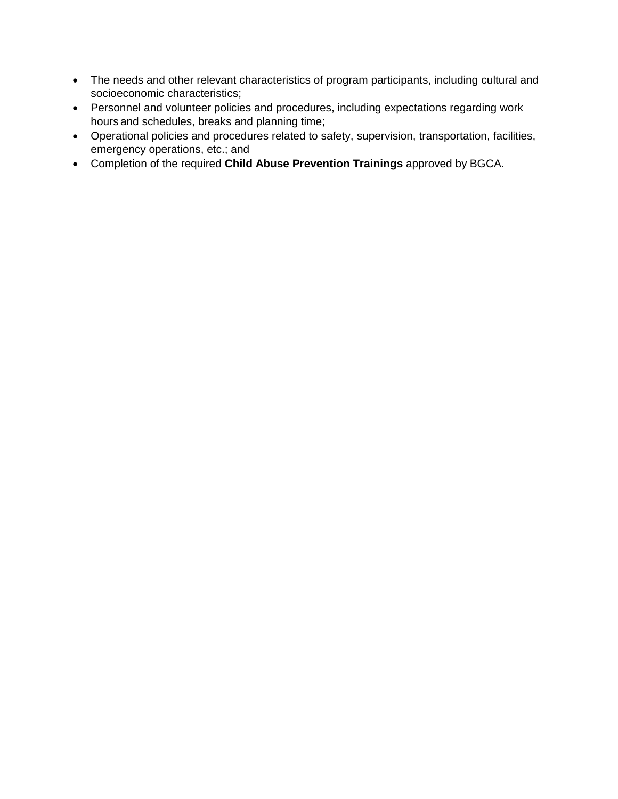- The needs and other relevant characteristics of program participants, including cultural and socioeconomic characteristics;
- Personnel and volunteer policies and procedures, including expectations regarding work hours and schedules, breaks and planning time;
- Operational policies and procedures related to safety, supervision, transportation, facilities, emergency operations, etc.; and
- Completion of the required **Child Abuse Prevention Trainings** approved by BGCA.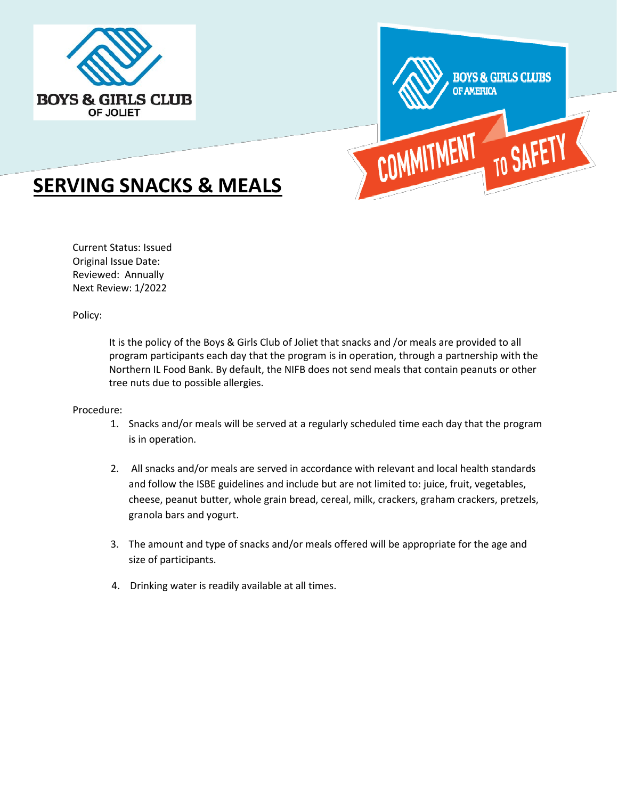



# **SERVING SNACKS & MEALS**

Current Status: Issued Original Issue Date: Reviewed: Annually Next Review: 1/2022

Policy:

It is the policy of the Boys & Girls Club of Joliet that snacks and /or meals are provided to all program participants each day that the program is in operation, through a partnership with the Northern IL Food Bank. By default, the NIFB does not send meals that contain peanuts or other tree nuts due to possible allergies.

#### Procedure:

- 1. Snacks and/or meals will be served at a regularly scheduled time each day that the program is in operation.
- 2. All snacks and/or meals are served in accordance with relevant and local health standards and follow the ISBE guidelines and include but are not limited to: juice, fruit, vegetables, cheese, peanut butter, whole grain bread, cereal, milk, crackers, graham crackers, pretzels, granola bars and yogurt.
- 3. The amount and type of snacks and/or meals offered will be appropriate for the age and size of participants.
- 4. Drinking water is readily available at all times.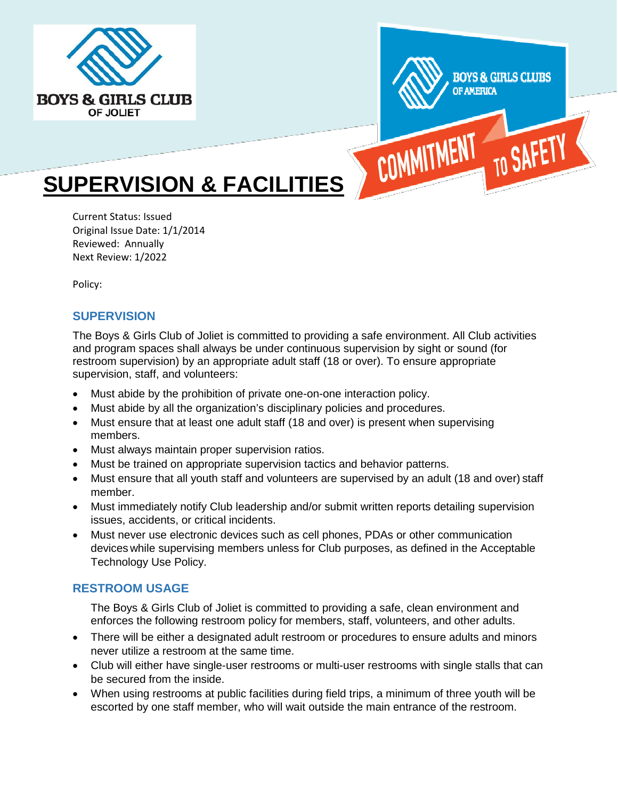



# **SUPERVISION & FACILITIES**

Current Status: Issued Original Issue Date: 1/1/2014 Reviewed: Annually Next Review: 1/2022

Policy:

# **SUPERVISION**

The Boys & Girls Club of Joliet is committed to providing a safe environment. All Club activities and program spaces shall always be under continuous supervision by sight or sound (for restroom supervision) by an appropriate adult staff (18 or over). To ensure appropriate supervision, staff, and volunteers:

- Must abide by the prohibition of private one-on-one interaction policy.
- Must abide by all the organization's disciplinary policies and procedures.
- Must ensure that at least one adult staff (18 and over) is present when supervising members.
- Must always maintain proper supervision ratios.
- Must be trained on appropriate supervision tactics and behavior patterns.
- Must ensure that all youth staff and volunteers are supervised by an adult (18 and over) staff member.
- Must immediately notify Club leadership and/or submit written reports detailing supervision issues, accidents, or critical incidents.
- Must never use electronic devices such as cell phones, PDAs or other communication devices while supervising members unless for Club purposes, as defined in the Acceptable Technology Use Policy.

# **RESTROOM USAGE**

The Boys & Girls Club of Joliet is committed to providing a safe, clean environment and enforces the following restroom policy for members, staff, volunteers, and other adults.

- There will be either a designated adult restroom or procedures to ensure adults and minors never utilize a restroom at the same time.
- Club will either have single-user restrooms or multi-user restrooms with single stalls that can be secured from the inside.
- When using restrooms at public facilities during field trips, a minimum of three youth will be escorted by one staff member, who will wait outside the main entrance of the restroom.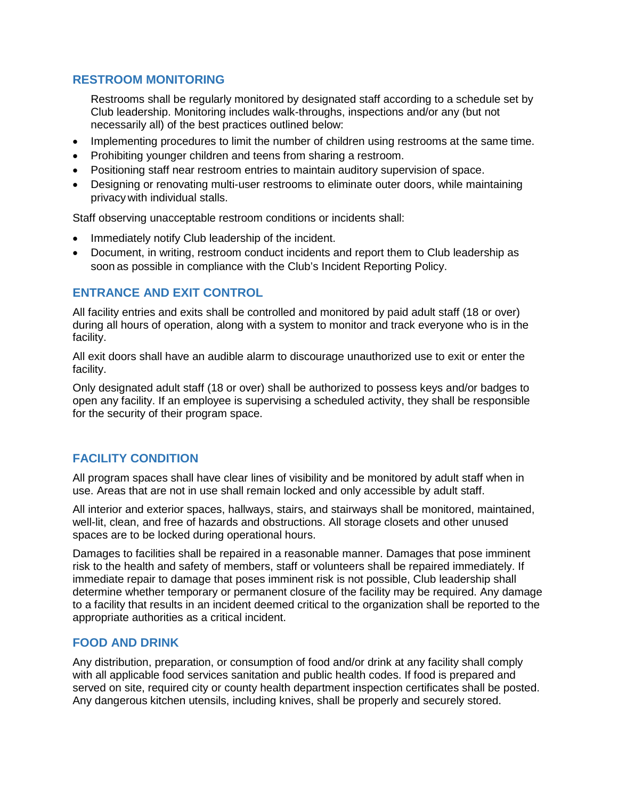## **RESTROOM MONITORING**

Restrooms shall be regularly monitored by designated staff according to a schedule set by Club leadership. Monitoring includes walk-throughs, inspections and/or any (but not necessarily all) of the best practices outlined below:

- Implementing procedures to limit the number of children using restrooms at the same time.
- Prohibiting younger children and teens from sharing a restroom.
- Positioning staff near restroom entries to maintain auditory supervision of space.
- Designing or renovating multi-user restrooms to eliminate outer doors, while maintaining privacy with individual stalls.

Staff observing unacceptable restroom conditions or incidents shall:

- Immediately notify Club leadership of the incident.
- Document, in writing, restroom conduct incidents and report them to Club leadership as soon as possible in compliance with the Club's Incident Reporting Policy.

## **ENTRANCE AND EXIT CONTROL**

All facility entries and exits shall be controlled and monitored by paid adult staff (18 or over) during all hours of operation, along with a system to monitor and track everyone who is in the facility.

All exit doors shall have an audible alarm to discourage unauthorized use to exit or enter the facility.

Only designated adult staff (18 or over) shall be authorized to possess keys and/or badges to open any facility. If an employee is supervising a scheduled activity, they shall be responsible for the security of their program space.

# **FACILITY CONDITION**

All program spaces shall have clear lines of visibility and be monitored by adult staff when in use. Areas that are not in use shall remain locked and only accessible by adult staff.

All interior and exterior spaces, hallways, stairs, and stairways shall be monitored, maintained, well-lit, clean, and free of hazards and obstructions. All storage closets and other unused spaces are to be locked during operational hours.

Damages to facilities shall be repaired in a reasonable manner. Damages that pose imminent risk to the health and safety of members, staff or volunteers shall be repaired immediately. If immediate repair to damage that poses imminent risk is not possible, Club leadership shall determine whether temporary or permanent closure of the facility may be required. Any damage to a facility that results in an incident deemed critical to the organization shall be reported to the appropriate authorities as a critical incident.

## **FOOD AND DRINK**

Any distribution, preparation, or consumption of food and/or drink at any facility shall comply with all applicable food services sanitation and public health codes. If food is prepared and served on site, required city or county health department inspection certificates shall be posted. Any dangerous kitchen utensils, including knives, shall be properly and securely stored.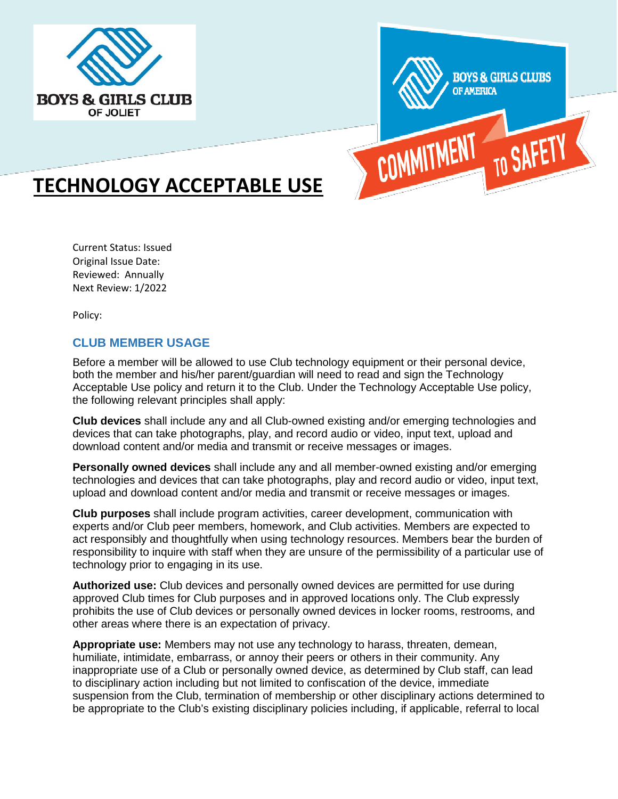



# **TECHNOLOGY ACCEPTABLE USE**

Current Status: Issued Original Issue Date: Reviewed: Annually Next Review: 1/2022

Policy:

# **CLUB MEMBER USAGE**

Before a member will be allowed to use Club technology equipment or their personal device, both the member and his/her parent/guardian will need to read and sign the Technology Acceptable Use policy and return it to the Club. Under the Technology Acceptable Use policy, the following relevant principles shall apply:

**Club devices** shall include any and all Club-owned existing and/or emerging technologies and devices that can take photographs, play, and record audio or video, input text, upload and download content and/or media and transmit or receive messages or images.

**Personally owned devices** shall include any and all member-owned existing and/or emerging technologies and devices that can take photographs, play and record audio or video, input text, upload and download content and/or media and transmit or receive messages or images.

**Club purposes** shall include program activities, career development, communication with experts and/or Club peer members, homework, and Club activities. Members are expected to act responsibly and thoughtfully when using technology resources. Members bear the burden of responsibility to inquire with staff when they are unsure of the permissibility of a particular use of technology prior to engaging in its use.

**Authorized use:** Club devices and personally owned devices are permitted for use during approved Club times for Club purposes and in approved locations only. The Club expressly prohibits the use of Club devices or personally owned devices in locker rooms, restrooms, and other areas where there is an expectation of privacy.

**Appropriate use:** Members may not use any technology to harass, threaten, demean, humiliate, intimidate, embarrass, or annoy their peers or others in their community. Any inappropriate use of a Club or personally owned device, as determined by Club staff, can lead to disciplinary action including but not limited to confiscation of the device, immediate suspension from the Club, termination of membership or other disciplinary actions determined to be appropriate to the Club's existing disciplinary policies including, if applicable, referral to local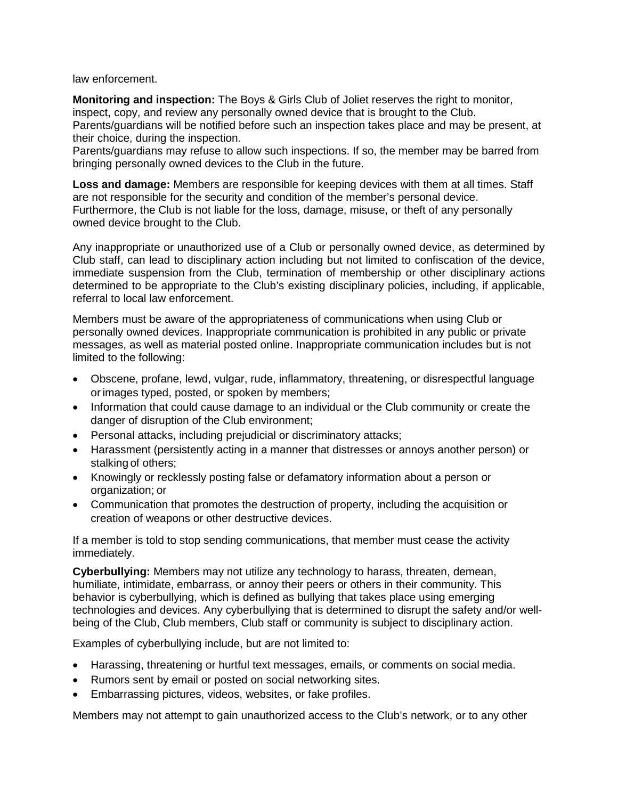law enforcement.

**Monitoring and inspection:** The Boys & Girls Club of Joliet reserves the right to monitor, inspect, copy, and review any personally owned device that is brought to the Club. Parents/guardians will be notified before such an inspection takes place and may be present, at their choice, during the inspection.

Parents/guardians may refuse to allow such inspections. If so, the member may be barred from bringing personally owned devices to the Club in the future.

**Loss and damage:** Members are responsible for keeping devices with them at all times. Staff are not responsible for the security and condition of the member's personal device. Furthermore, the Club is not liable for the loss, damage, misuse, or theft of any personally owned device brought to the Club.

Any inappropriate or unauthorized use of a Club or personally owned device, as determined by Club staff, can lead to disciplinary action including but not limited to confiscation of the device, immediate suspension from the Club, termination of membership or other disciplinary actions determined to be appropriate to the Club's existing disciplinary policies, including, if applicable, referral to local law enforcement.

Members must be aware of the appropriateness of communications when using Club or personally owned devices. Inappropriate communication is prohibited in any public or private messages, as well as material posted online. Inappropriate communication includes but is not limited to the following:

- Obscene, profane, lewd, vulgar, rude, inflammatory, threatening, or disrespectful language or images typed, posted, or spoken by members;
- Information that could cause damage to an individual or the Club community or create the danger of disruption of the Club environment;
- Personal attacks, including prejudicial or discriminatory attacks;
- Harassment (persistently acting in a manner that distresses or annoys another person) or stalking of others;
- Knowingly or recklessly posting false or defamatory information about a person or organization; or
- Communication that promotes the destruction of property, including the acquisition or creation of weapons or other destructive devices.

If a member is told to stop sending communications, that member must cease the activity immediately.

**Cyberbullying:** Members may not utilize any technology to harass, threaten, demean, humiliate, intimidate, embarrass, or annoy their peers or others in their community. This behavior is cyberbullying, which is defined as bullying that takes place using emerging technologies and devices. Any cyberbullying that is determined to disrupt the safety and/or wellbeing of the Club, Club members, Club staff or community is subject to disciplinary action.

Examples of cyberbullying include, but are not limited to:

- Harassing, threatening or hurtful text messages, emails, or comments on social media.
- Rumors sent by email or posted on social networking sites.
- Embarrassing pictures, videos, websites, or fake profiles.

Members may not attempt to gain unauthorized access to the Club's network, or to any other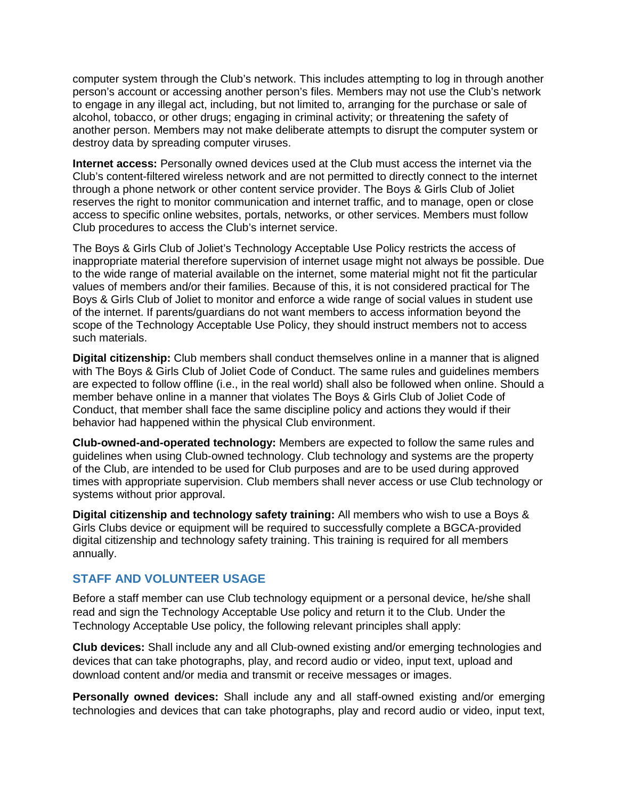computer system through the Club's network. This includes attempting to log in through another person's account or accessing another person's files. Members may not use the Club's network to engage in any illegal act, including, but not limited to, arranging for the purchase or sale of alcohol, tobacco, or other drugs; engaging in criminal activity; or threatening the safety of another person. Members may not make deliberate attempts to disrupt the computer system or destroy data by spreading computer viruses.

**Internet access:** Personally owned devices used at the Club must access the internet via the Club's content-filtered wireless network and are not permitted to directly connect to the internet through a phone network or other content service provider. The Boys & Girls Club of Joliet reserves the right to monitor communication and internet traffic, and to manage, open or close access to specific online websites, portals, networks, or other services. Members must follow Club procedures to access the Club's internet service.

The Boys & Girls Club of Joliet's Technology Acceptable Use Policy restricts the access of inappropriate material therefore supervision of internet usage might not always be possible. Due to the wide range of material available on the internet, some material might not fit the particular values of members and/or their families. Because of this, it is not considered practical for The Boys & Girls Club of Joliet to monitor and enforce a wide range of social values in student use of the internet. If parents/guardians do not want members to access information beyond the scope of the Technology Acceptable Use Policy, they should instruct members not to access such materials.

**Digital citizenship:** Club members shall conduct themselves online in a manner that is aligned with The Boys & Girls Club of Joliet Code of Conduct. The same rules and guidelines members are expected to follow offline (i.e., in the real world) shall also be followed when online. Should a member behave online in a manner that violates The Boys & Girls Club of Joliet Code of Conduct, that member shall face the same discipline policy and actions they would if their behavior had happened within the physical Club environment.

**Club-owned-and-operated technology:** Members are expected to follow the same rules and guidelines when using Club-owned technology. Club technology and systems are the property of the Club, are intended to be used for Club purposes and are to be used during approved times with appropriate supervision. Club members shall never access or use Club technology or systems without prior approval.

**Digital citizenship and technology safety training:** All members who wish to use a Boys & Girls Clubs device or equipment will be required to successfully complete a BGCA-provided digital citizenship and technology safety training. This training is required for all members annually.

## **STAFF AND VOLUNTEER USAGE**

Before a staff member can use Club technology equipment or a personal device, he/she shall read and sign the Technology Acceptable Use policy and return it to the Club. Under the Technology Acceptable Use policy, the following relevant principles shall apply:

**Club devices:** Shall include any and all Club-owned existing and/or emerging technologies and devices that can take photographs, play, and record audio or video, input text, upload and download content and/or media and transmit or receive messages or images.

**Personally owned devices:** Shall include any and all staff-owned existing and/or emerging technologies and devices that can take photographs, play and record audio or video, input text,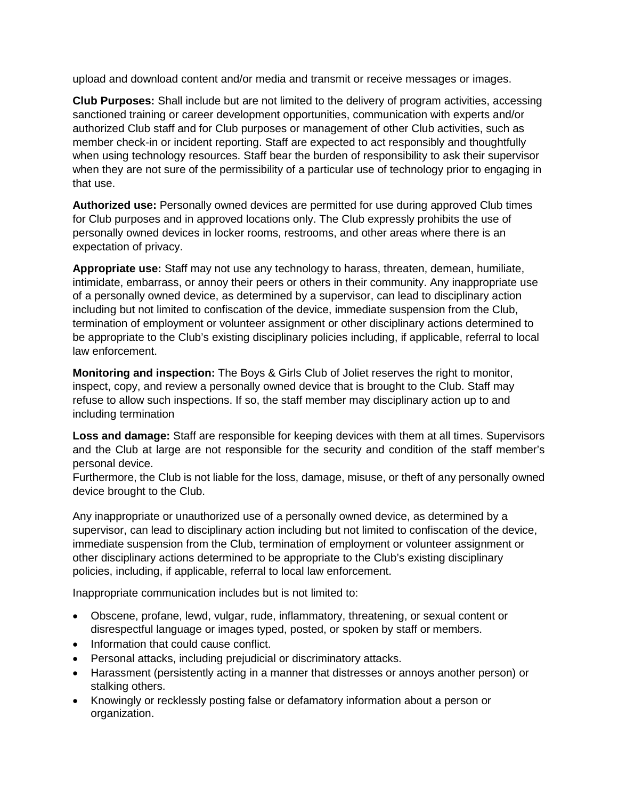upload and download content and/or media and transmit or receive messages or images.

**Club Purposes:** Shall include but are not limited to the delivery of program activities, accessing sanctioned training or career development opportunities, communication with experts and/or authorized Club staff and for Club purposes or management of other Club activities, such as member check-in or incident reporting. Staff are expected to act responsibly and thoughtfully when using technology resources. Staff bear the burden of responsibility to ask their supervisor when they are not sure of the permissibility of a particular use of technology prior to engaging in that use.

**Authorized use:** Personally owned devices are permitted for use during approved Club times for Club purposes and in approved locations only. The Club expressly prohibits the use of personally owned devices in locker rooms, restrooms, and other areas where there is an expectation of privacy.

**Appropriate use:** Staff may not use any technology to harass, threaten, demean, humiliate, intimidate, embarrass, or annoy their peers or others in their community. Any inappropriate use of a personally owned device, as determined by a supervisor, can lead to disciplinary action including but not limited to confiscation of the device, immediate suspension from the Club, termination of employment or volunteer assignment or other disciplinary actions determined to be appropriate to the Club's existing disciplinary policies including, if applicable, referral to local law enforcement.

**Monitoring and inspection:** The Boys & Girls Club of Joliet reserves the right to monitor, inspect, copy, and review a personally owned device that is brought to the Club. Staff may refuse to allow such inspections. If so, the staff member may disciplinary action up to and including termination

**Loss and damage:** Staff are responsible for keeping devices with them at all times. Supervisors and the Club at large are not responsible for the security and condition of the staff member's personal device.

Furthermore, the Club is not liable for the loss, damage, misuse, or theft of any personally owned device brought to the Club.

Any inappropriate or unauthorized use of a personally owned device, as determined by a supervisor, can lead to disciplinary action including but not limited to confiscation of the device, immediate suspension from the Club, termination of employment or volunteer assignment or other disciplinary actions determined to be appropriate to the Club's existing disciplinary policies, including, if applicable, referral to local law enforcement.

Inappropriate communication includes but is not limited to:

- Obscene, profane, lewd, vulgar, rude, inflammatory, threatening, or sexual content or disrespectful language or images typed, posted, or spoken by staff or members.
- Information that could cause conflict.
- Personal attacks, including prejudicial or discriminatory attacks.
- Harassment (persistently acting in a manner that distresses or annoys another person) or stalking others.
- Knowingly or recklessly posting false or defamatory information about a person or organization.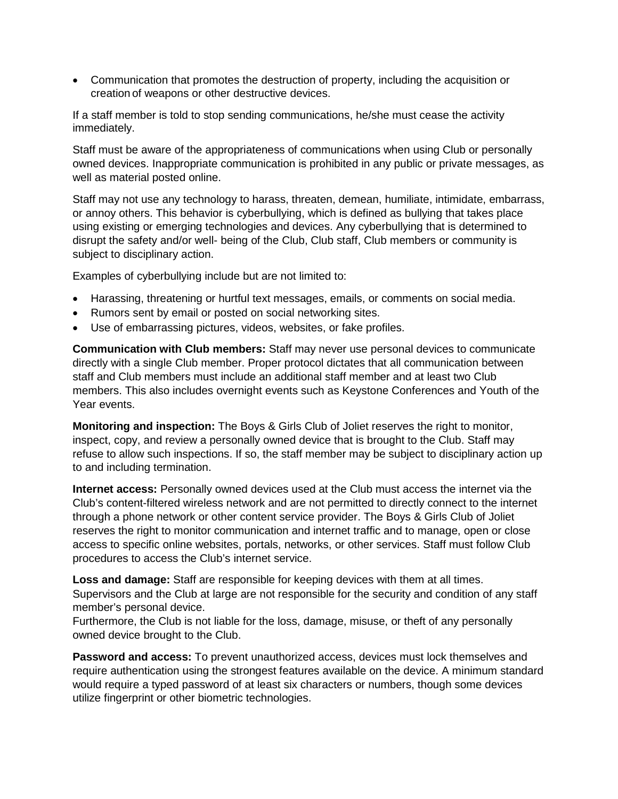• Communication that promotes the destruction of property, including the acquisition or creation of weapons or other destructive devices.

If a staff member is told to stop sending communications, he/she must cease the activity immediately.

Staff must be aware of the appropriateness of communications when using Club or personally owned devices. Inappropriate communication is prohibited in any public or private messages, as well as material posted online.

Staff may not use any technology to harass, threaten, demean, humiliate, intimidate, embarrass, or annoy others. This behavior is cyberbullying, which is defined as bullying that takes place using existing or emerging technologies and devices. Any cyberbullying that is determined to disrupt the safety and/or well- being of the Club, Club staff, Club members or community is subject to disciplinary action.

Examples of cyberbullying include but are not limited to:

- Harassing, threatening or hurtful text messages, emails, or comments on social media.
- Rumors sent by email or posted on social networking sites.
- Use of embarrassing pictures, videos, websites, or fake profiles.

**Communication with Club members:** Staff may never use personal devices to communicate directly with a single Club member. Proper protocol dictates that all communication between staff and Club members must include an additional staff member and at least two Club members. This also includes overnight events such as Keystone Conferences and Youth of the Year events.

**Monitoring and inspection:** The Boys & Girls Club of Joliet reserves the right to monitor, inspect, copy, and review a personally owned device that is brought to the Club. Staff may refuse to allow such inspections. If so, the staff member may be subject to disciplinary action up to and including termination.

**Internet access:** Personally owned devices used at the Club must access the internet via the Club's content-filtered wireless network and are not permitted to directly connect to the internet through a phone network or other content service provider. The Boys & Girls Club of Joliet reserves the right to monitor communication and internet traffic and to manage, open or close access to specific online websites, portals, networks, or other services. Staff must follow Club procedures to access the Club's internet service.

**Loss and damage:** Staff are responsible for keeping devices with them at all times. Supervisors and the Club at large are not responsible for the security and condition of any staff member's personal device.

Furthermore, the Club is not liable for the loss, damage, misuse, or theft of any personally owned device brought to the Club.

**Password and access:** To prevent unauthorized access, devices must lock themselves and require authentication using the strongest features available on the device. A minimum standard would require a typed password of at least six characters or numbers, though some devices utilize fingerprint or other biometric technologies.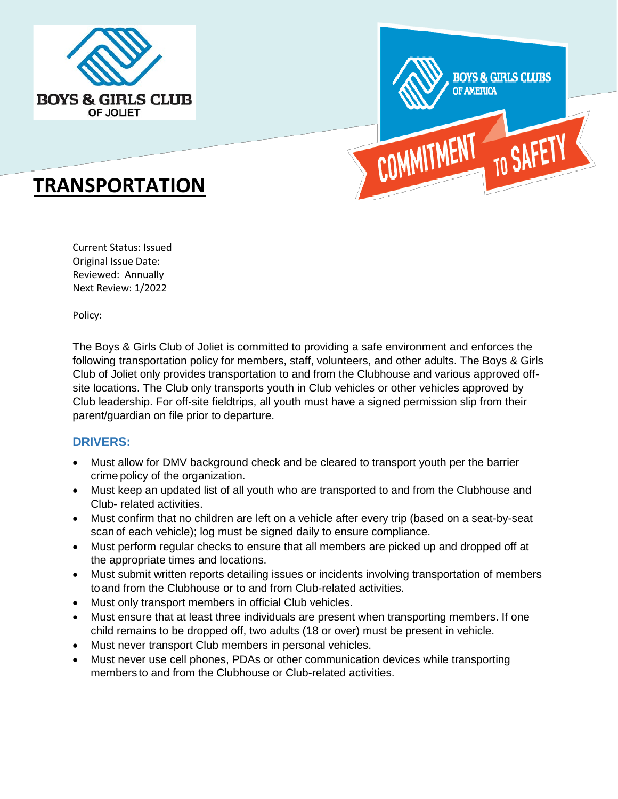



# **TRANSPORTATION**

Current Status: Issued Original Issue Date: Reviewed: Annually Next Review: 1/2022

Policy:

The Boys & Girls Club of Joliet is committed to providing a safe environment and enforces the following transportation policy for members, staff, volunteers, and other adults. The Boys & Girls Club of Joliet only provides transportation to and from the Clubhouse and various approved offsite locations. The Club only transports youth in Club vehicles or other vehicles approved by Club leadership. For off-site fieldtrips, all youth must have a signed permission slip from their parent/guardian on file prior to departure.

## **DRIVERS:**

- Must allow for DMV background check and be cleared to transport youth per the barrier crime policy of the organization.
- Must keep an updated list of all youth who are transported to and from the Clubhouse and Club- related activities.
- Must confirm that no children are left on a vehicle after every trip (based on a seat-by-seat scan of each vehicle); log must be signed daily to ensure compliance.
- Must perform regular checks to ensure that all members are picked up and dropped off at the appropriate times and locations.
- Must submit written reports detailing issues or incidents involving transportation of members toand from the Clubhouse or to and from Club-related activities.
- Must only transport members in official Club vehicles.
- Must ensure that at least three individuals are present when transporting members. If one child remains to be dropped off, two adults (18 or over) must be present in vehicle.
- Must never transport Club members in personal vehicles.
- Must never use cell phones, PDAs or other communication devices while transporting members to and from the Clubhouse or Club-related activities.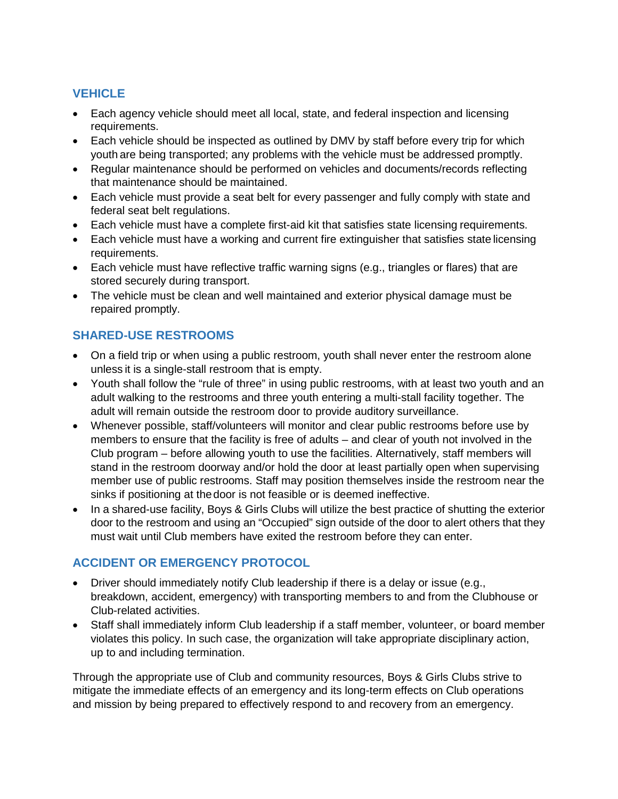# **VEHICLE**

- Each agency vehicle should meet all local, state, and federal inspection and licensing requirements.
- Each vehicle should be inspected as outlined by DMV by staff before every trip for which youth are being transported; any problems with the vehicle must be addressed promptly.
- Regular maintenance should be performed on vehicles and documents/records reflecting that maintenance should be maintained.
- Each vehicle must provide a seat belt for every passenger and fully comply with state and federal seat belt regulations.
- Each vehicle must have a complete first-aid kit that satisfies state licensing requirements.
- Each vehicle must have a working and current fire extinguisher that satisfies state licensing requirements.
- Each vehicle must have reflective traffic warning signs (e.g., triangles or flares) that are stored securely during transport.
- The vehicle must be clean and well maintained and exterior physical damage must be repaired promptly.

# **SHARED-USE RESTROOMS**

- On a field trip or when using a public restroom, youth shall never enter the restroom alone unless it is a single-stall restroom that is empty.
- Youth shall follow the "rule of three" in using public restrooms, with at least two youth and an adult walking to the restrooms and three youth entering a multi-stall facility together. The adult will remain outside the restroom door to provide auditory surveillance.
- Whenever possible, staff/volunteers will monitor and clear public restrooms before use by members to ensure that the facility is free of adults – and clear of youth not involved in the Club program – before allowing youth to use the facilities. Alternatively, staff members will stand in the restroom doorway and/or hold the door at least partially open when supervising member use of public restrooms. Staff may position themselves inside the restroom near the sinks if positioning at thedoor is not feasible or is deemed ineffective.
- In a shared-use facility, Boys & Girls Clubs will utilize the best practice of shutting the exterior door to the restroom and using an "Occupied" sign outside of the door to alert others that they must wait until Club members have exited the restroom before they can enter.

# **ACCIDENT OR EMERGENCY PROTOCOL**

- Driver should immediately notify Club leadership if there is a delay or issue (e.g., breakdown, accident, emergency) with transporting members to and from the Clubhouse or Club-related activities.
- Staff shall immediately inform Club leadership if a staff member, volunteer, or board member violates this policy. In such case, the organization will take appropriate disciplinary action, up to and including termination.

Through the appropriate use of Club and community resources, Boys & Girls Clubs strive to mitigate the immediate effects of an emergency and its long-term effects on Club operations and mission by being prepared to effectively respond to and recovery from an emergency.